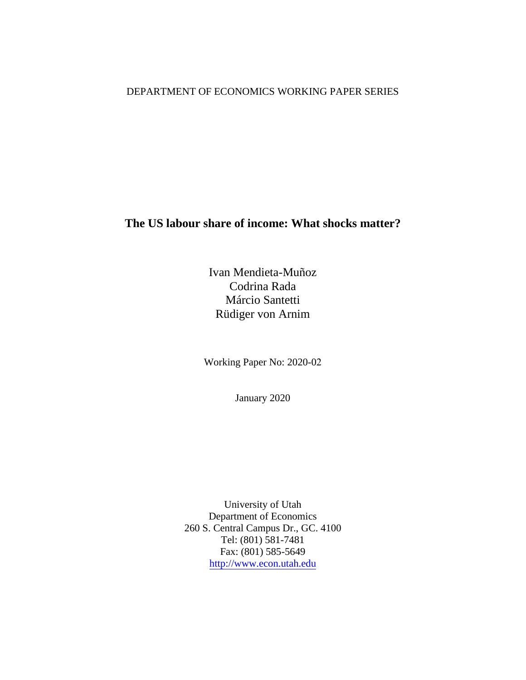### DEPARTMENT OF ECONOMICS WORKING PAPER SERIES

# **The US labour share of income: What shocks matter?**

Ivan Mendieta-Muñoz Codrina Rada Márcio Santetti Rüdiger von Arnim

Working Paper No: 2020-02

January 2020

University of Utah Department of Economics 260 S. Central Campus Dr., GC. 4100 Tel: (801) 581-7481 Fax: (801) 585-5649 [http://www.econ.utah.edu](http://www.econ.utah.edu/)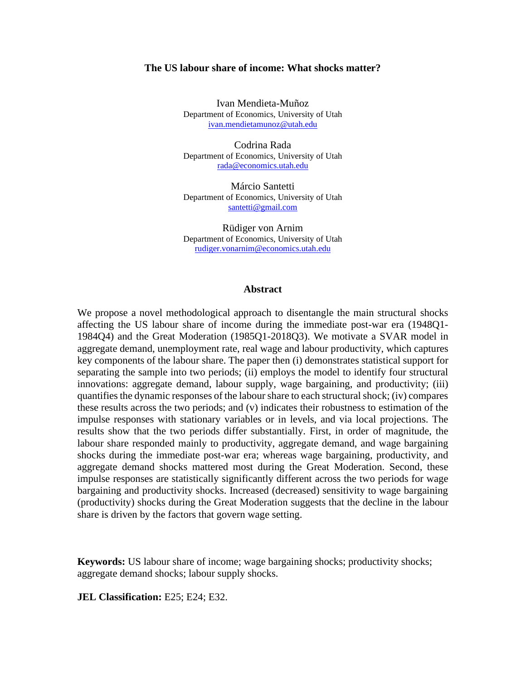#### **The US labour share of income: What shocks matter?**

Ivan Mendieta-Muñoz Department of Economics, University of Utah [ivan.mendietamunoz@utah.edu](mailto:ivan.mendietamunoz@utah.edu)

Codrina Rada Department of Economics, University of Utah [rada@economics.utah.edu](mailto:rada@economics.utah.edu)

Márcio Santetti Department of Economics, University of Utah [santetti@gmail.com](mailto:santetti@gmail.com)

Rüdiger von Arnim Department of Economics, University of Utah [rudiger.vonarnim@economics.utah.edu](mailto:rudiger.vonarnim@economics.utah.edu)

#### **Abstract**

We propose a novel methodological approach to disentangle the main structural shocks affecting the US labour share of income during the immediate post-war era (1948Q1- 1984Q4) and the Great Moderation (1985Q1-2018Q3). We motivate a SVAR model in aggregate demand, unemployment rate, real wage and labour productivity, which captures key components of the labour share. The paper then (i) demonstrates statistical support for separating the sample into two periods; (ii) employs the model to identify four structural innovations: aggregate demand, labour supply, wage bargaining, and productivity; (iii) quantifies the dynamic responses of the labour share to each structural shock; (iv) compares these results across the two periods; and (v) indicates their robustness to estimation of the impulse responses with stationary variables or in levels, and via local projections. The results show that the two periods differ substantially. First, in order of magnitude, the labour share responded mainly to productivity, aggregate demand, and wage bargaining shocks during the immediate post-war era; whereas wage bargaining, productivity, and aggregate demand shocks mattered most during the Great Moderation. Second, these impulse responses are statistically significantly different across the two periods for wage bargaining and productivity shocks. Increased (decreased) sensitivity to wage bargaining (productivity) shocks during the Great Moderation suggests that the decline in the labour share is driven by the factors that govern wage setting.

**Keywords:** US labour share of income; wage bargaining shocks; productivity shocks; aggregate demand shocks; labour supply shocks.

**JEL Classification:** E25; E24; E32.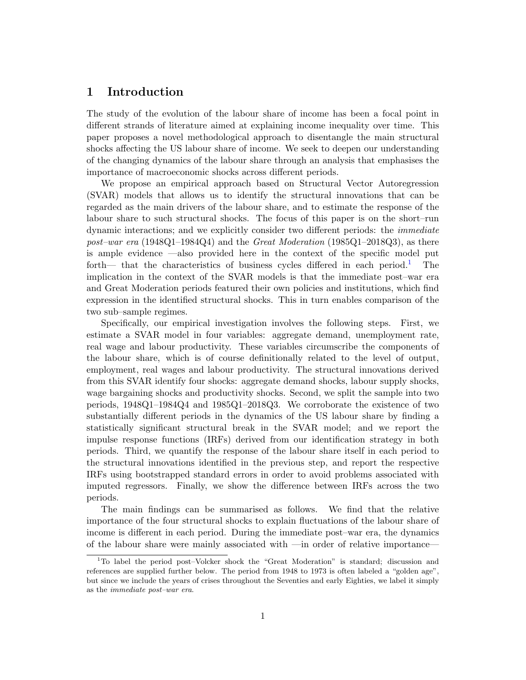### 1 Introduction

The study of the evolution of the labour share of income has been a focal point in different strands of literature aimed at explaining income inequality over time. This paper proposes a novel methodological approach to disentangle the main structural shocks affecting the US labour share of income. We seek to deepen our understanding of the changing dynamics of the labour share through an analysis that emphasises the importance of macroeconomic shocks across different periods.

We propose an empirical approach based on Structural Vector Autoregression (SVAR) models that allows us to identify the structural innovations that can be regarded as the main drivers of the labour share, and to estimate the response of the labour share to such structural shocks. The focus of this paper is on the short–run dynamic interactions; and we explicitly consider two different periods: the immediate post–war era  $(1948Q1-1984Q4)$  and the *Great Moderation*  $(1985Q1-2018Q3)$ , as there is ample evidence —also provided here in the context of the specific model put forth— that the characteristics of business cycles differed in each period.<sup>[1](#page-2-0)</sup> The implication in the context of the SVAR models is that the immediate post–war era and Great Moderation periods featured their own policies and institutions, which find expression in the identified structural shocks. This in turn enables comparison of the two sub–sample regimes.

Specifically, our empirical investigation involves the following steps. First, we estimate a SVAR model in four variables: aggregate demand, unemployment rate, real wage and labour productivity. These variables circumscribe the components of the labour share, which is of course definitionally related to the level of output, employment, real wages and labour productivity. The structural innovations derived from this SVAR identify four shocks: aggregate demand shocks, labour supply shocks, wage bargaining shocks and productivity shocks. Second, we split the sample into two periods, 1948Q1–1984Q4 and 1985Q1–2018Q3. We corroborate the existence of two substantially different periods in the dynamics of the US labour share by finding a statistically significant structural break in the SVAR model; and we report the impulse response functions (IRFs) derived from our identification strategy in both periods. Third, we quantify the response of the labour share itself in each period to the structural innovations identified in the previous step, and report the respective IRFs using bootstrapped standard errors in order to avoid problems associated with imputed regressors. Finally, we show the difference between IRFs across the two periods.

The main findings can be summarised as follows. We find that the relative importance of the four structural shocks to explain fluctuations of the labour share of income is different in each period. During the immediate post–war era, the dynamics of the labour share were mainly associated with —in order of relative importance—

<span id="page-2-0"></span><sup>1</sup>To label the period post–Volcker shock the "Great Moderation" is standard; discussion and references are supplied further below. The period from 1948 to 1973 is often labeled a "golden age", but since we include the years of crises throughout the Seventies and early Eighties, we label it simply as the immediate post–war era.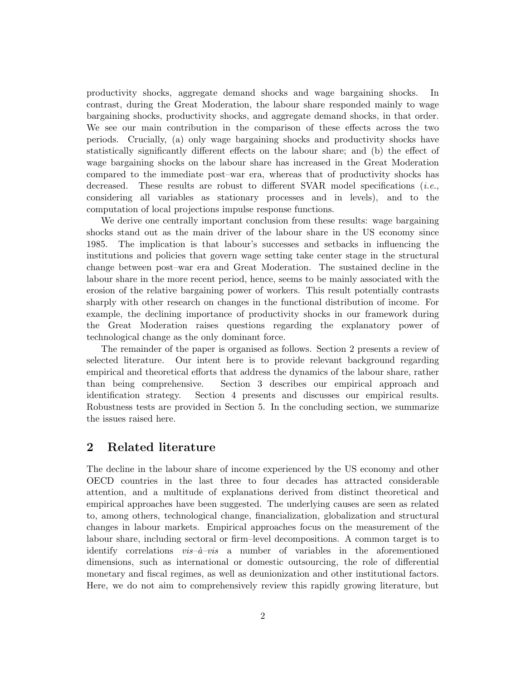productivity shocks, aggregate demand shocks and wage bargaining shocks. In contrast, during the Great Moderation, the labour share responded mainly to wage bargaining shocks, productivity shocks, and aggregate demand shocks, in that order. We see our main contribution in the comparison of these effects across the two periods. Crucially, (a) only wage bargaining shocks and productivity shocks have statistically significantly different effects on the labour share; and (b) the effect of wage bargaining shocks on the labour share has increased in the Great Moderation compared to the immediate post–war era, whereas that of productivity shocks has decreased. These results are robust to different SVAR model specifications  $(i.e.,$ considering all variables as stationary processes and in levels), and to the computation of local projections impulse response functions.

We derive one centrally important conclusion from these results: wage bargaining shocks stand out as the main driver of the labour share in the US economy since 1985. The implication is that labour's successes and setbacks in influencing the institutions and policies that govern wage setting take center stage in the structural change between post–war era and Great Moderation. The sustained decline in the labour share in the more recent period, hence, seems to be mainly associated with the erosion of the relative bargaining power of workers. This result potentially contrasts sharply with other research on changes in the functional distribution of income. For example, the declining importance of productivity shocks in our framework during the Great Moderation raises questions regarding the explanatory power of technological change as the only dominant force.

The remainder of the paper is organised as follows. Section 2 presents a review of selected literature. Our intent here is to provide relevant background regarding empirical and theoretical efforts that address the dynamics of the labour share, rather than being comprehensive. Section 3 describes our empirical approach and identification strategy. Section 4 presents and discusses our empirical results. Robustness tests are provided in Section 5. In the concluding section, we summarize the issues raised here.

### 2 Related literature

The decline in the labour share of income experienced by the US economy and other OECD countries in the last three to four decades has attracted considerable attention, and a multitude of explanations derived from distinct theoretical and empirical approaches have been suggested. The underlying causes are seen as related to, among others, technological change, financialization, globalization and structural changes in labour markets. Empirical approaches focus on the measurement of the labour share, including sectoral or firm–level decompositions. A common target is to identify correlations  $vis-\hat{a}-vis$  a number of variables in the aforementioned dimensions, such as international or domestic outsourcing, the role of differential monetary and fiscal regimes, as well as deunionization and other institutional factors. Here, we do not aim to comprehensively review this rapidly growing literature, but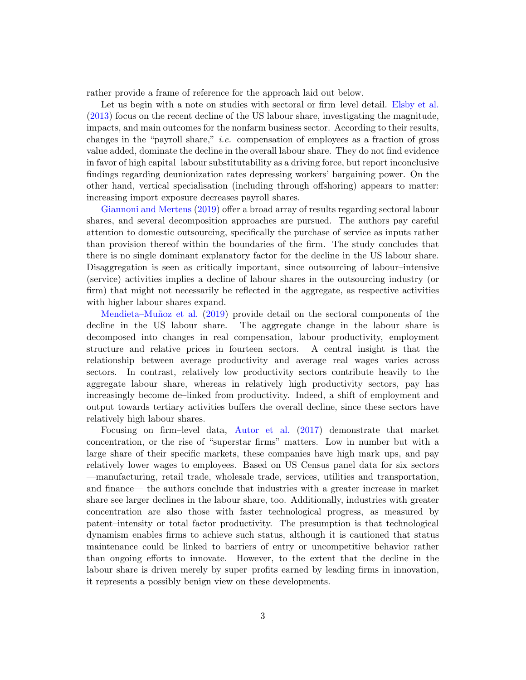rather provide a frame of reference for the approach laid out below.

Let us begin with a note on studies with sectoral or firm–level detail. [Elsby et al.](#page-19-0) [\(2013\)](#page-19-0) focus on the recent decline of the US labour share, investigating the magnitude, impacts, and main outcomes for the nonfarm business sector. According to their results, changes in the "payroll share," *i.e.* compensation of employees as a fraction of gross value added, dominate the decline in the overall labour share. They do not find evidence in favor of high capital–labour substitutability as a driving force, but report inconclusive findings regarding deunionization rates depressing workers' bargaining power. On the other hand, vertical specialisation (including through offshoring) appears to matter: increasing import exposure decreases payroll shares.

[Giannoni and Mertens](#page-20-0) [\(2019\)](#page-20-0) offer a broad array of results regarding sectoral labour shares, and several decomposition approaches are pursued. The authors pay careful attention to domestic outsourcing, specifically the purchase of service as inputs rather than provision thereof within the boundaries of the firm. The study concludes that there is no single dominant explanatory factor for the decline in the US labour share. Disaggregation is seen as critically important, since outsourcing of labour–intensive (service) activities implies a decline of labour shares in the outsourcing industry (or firm) that might not necessarily be reflected in the aggregate, as respective activities with higher labour shares expand.

Mendieta–Muñoz et al. [\(2019\)](#page-20-1) provide detail on the sectoral components of the decline in the US labour share. The aggregate change in the labour share is decomposed into changes in real compensation, labour productivity, employment structure and relative prices in fourteen sectors. A central insight is that the relationship between average productivity and average real wages varies across sectors. In contrast, relatively low productivity sectors contribute heavily to the aggregate labour share, whereas in relatively high productivity sectors, pay has increasingly become de–linked from productivity. Indeed, a shift of employment and output towards tertiary activities buffers the overall decline, since these sectors have relatively high labour shares.

Focusing on firm–level data, [Autor et al.](#page-18-0) [\(2017\)](#page-18-0) demonstrate that market concentration, or the rise of "superstar firms" matters. Low in number but with a large share of their specific markets, these companies have high mark–ups, and pay relatively lower wages to employees. Based on US Census panel data for six sectors —manufacturing, retail trade, wholesale trade, services, utilities and transportation, and finance— the authors conclude that industries with a greater increase in market share see larger declines in the labour share, too. Additionally, industries with greater concentration are also those with faster technological progress, as measured by patent–intensity or total factor productivity. The presumption is that technological dynamism enables firms to achieve such status, although it is cautioned that status maintenance could be linked to barriers of entry or uncompetitive behavior rather than ongoing efforts to innovate. However, to the extent that the decline in the labour share is driven merely by super–profits earned by leading firms in innovation, it represents a possibly benign view on these developments.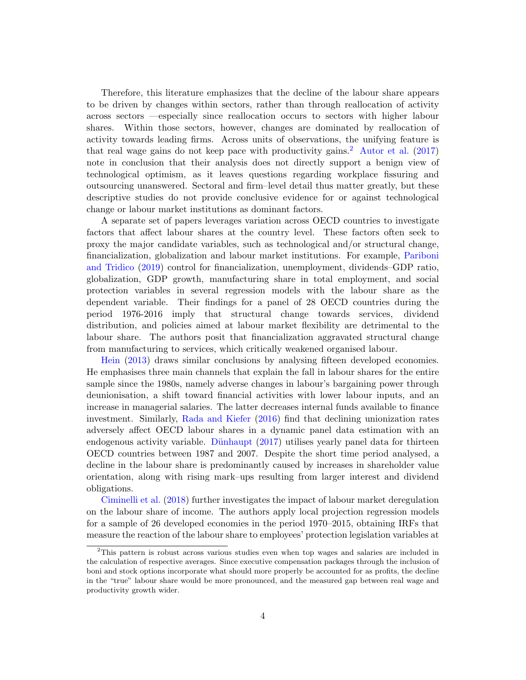Therefore, this literature emphasizes that the decline of the labour share appears to be driven by changes within sectors, rather than through reallocation of activity across sectors —especially since reallocation occurs to sectors with higher labour shares. Within those sectors, however, changes are dominated by reallocation of activity towards leading firms. Across units of observations, the unifying feature is that real wage gains do not keep pace with productivity gains.<sup>[2](#page-5-0)</sup> [Autor et al.](#page-18-0)  $(2017)$ note in conclusion that their analysis does not directly support a benign view of technological optimism, as it leaves questions regarding workplace fissuring and outsourcing unanswered. Sectoral and firm–level detail thus matter greatly, but these descriptive studies do not provide conclusive evidence for or against technological change or labour market institutions as dominant factors.

A separate set of papers leverages variation across OECD countries to investigate factors that affect labour shares at the country level. These factors often seek to proxy the major candidate variables, such as technological and/or structural change, financialization, globalization and labour market institutions. For example, [Pariboni](#page-20-2) [and Tridico](#page-20-2) [\(2019\)](#page-20-2) control for financialization, unemployment, dividends–GDP ratio, globalization, GDP growth, manufacturing share in total employment, and social protection variables in several regression models with the labour share as the dependent variable. Their findings for a panel of 28 OECD countries during the period 1976-2016 imply that structural change towards services, dividend distribution, and policies aimed at labour market flexibility are detrimental to the labour share. The authors posit that financialization aggravated structural change from manufacturing to services, which critically weakened organised labour.

[Hein](#page-20-3) [\(2013\)](#page-20-3) draws similar conclusions by analysing fifteen developed economies. He emphasises three main channels that explain the fall in labour shares for the entire sample since the 1980s, namely adverse changes in labour's bargaining power through deunionisation, a shift toward financial activities with lower labour inputs, and an increase in managerial salaries. The latter decreases internal funds available to finance investment. Similarly, [Rada and Kiefer](#page-20-4) [\(2016\)](#page-20-4) find that declining unionization rates adversely affect OECD labour shares in a dynamic panel data estimation with an endogenous activity variable. Dünhaupt  $(2017)$  utilises yearly panel data for thirteen OECD countries between 1987 and 2007. Despite the short time period analysed, a decline in the labour share is predominantly caused by increases in shareholder value orientation, along with rising mark–ups resulting from larger interest and dividend obligations.

[Ciminelli et al.](#page-19-2) [\(2018\)](#page-19-2) further investigates the impact of labour market deregulation on the labour share of income. The authors apply local projection regression models for a sample of 26 developed economies in the period 1970–2015, obtaining IRFs that measure the reaction of the labour share to employees' protection legislation variables at

<span id="page-5-0"></span><sup>2</sup>This pattern is robust across various studies even when top wages and salaries are included in the calculation of respective averages. Since executive compensation packages through the inclusion of boni and stock options incorporate what should more properly be accounted for as profits, the decline in the "true" labour share would be more pronounced, and the measured gap between real wage and productivity growth wider.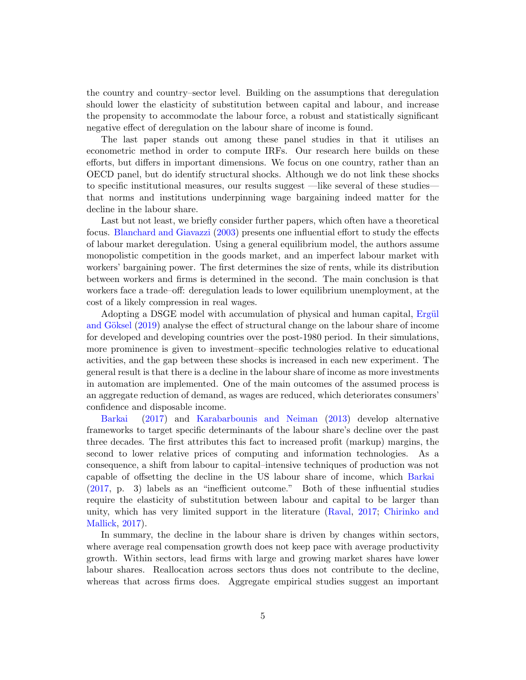the country and country–sector level. Building on the assumptions that deregulation should lower the elasticity of substitution between capital and labour, and increase the propensity to accommodate the labour force, a robust and statistically significant negative effect of deregulation on the labour share of income is found.

The last paper stands out among these panel studies in that it utilises an econometric method in order to compute IRFs. Our research here builds on these efforts, but differs in important dimensions. We focus on one country, rather than an OECD panel, but do identify structural shocks. Although we do not link these shocks to specific institutional measures, our results suggest —like several of these studies that norms and institutions underpinning wage bargaining indeed matter for the decline in the labour share.

Last but not least, we briefly consider further papers, which often have a theoretical focus. [Blanchard and Giavazzi](#page-19-3) [\(2003\)](#page-19-3) presents one influential effort to study the effects of labour market deregulation. Using a general equilibrium model, the authors assume monopolistic competition in the goods market, and an imperfect labour market with workers' bargaining power. The first determines the size of rents, while its distribution between workers and firms is determined in the second. The main conclusion is that workers face a trade–off: deregulation leads to lower equilibrium unemployment, at the cost of a likely compression in real wages.

Adopting a DSGE model with accumulation of physical and human capital, Ergül and Göksel [\(2019\)](#page-19-4) analyse the effect of structural change on the labour share of income for developed and developing countries over the post-1980 period. In their simulations, more prominence is given to investment–specific technologies relative to educational activities, and the gap between these shocks is increased in each new experiment. The general result is that there is a decline in the labour share of income as more investments in automation are implemented. One of the main outcomes of the assumed process is an aggregate reduction of demand, as wages are reduced, which deteriorates consumers' confidence and disposable income.

[Barkai](#page-19-5) [\(2017\)](#page-19-5) and [Karabarbounis and Neiman](#page-20-5) [\(2013\)](#page-20-5) develop alternative frameworks to target specific determinants of the labour share's decline over the past three decades. The first attributes this fact to increased profit (markup) margins, the second to lower relative prices of computing and information technologies. As a consequence, a shift from labour to capital–intensive techniques of production was not capable of offsetting the decline in the US labour share of income, which [Barkai](#page-19-5) [\(2017,](#page-19-5) p. 3) labels as an "inefficient outcome." Both of these influential studies require the elasticity of substitution between labour and capital to be larger than unity, which has very limited support in the literature [\(Raval,](#page-20-6) [2017;](#page-20-6) [Chirinko and](#page-19-6) [Mallick,](#page-19-6) [2017\)](#page-19-6).

In summary, the decline in the labour share is driven by changes within sectors, where average real compensation growth does not keep pace with average productivity growth. Within sectors, lead firms with large and growing market shares have lower labour shares. Reallocation across sectors thus does not contribute to the decline, whereas that across firms does. Aggregate empirical studies suggest an important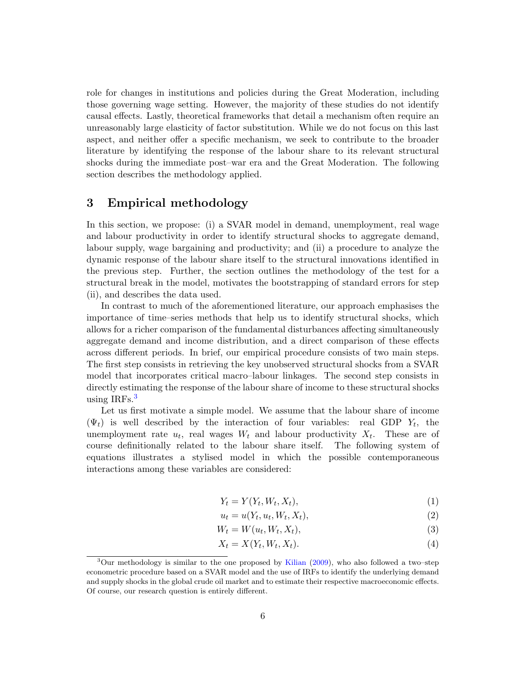role for changes in institutions and policies during the Great Moderation, including those governing wage setting. However, the majority of these studies do not identify causal effects. Lastly, theoretical frameworks that detail a mechanism often require an unreasonably large elasticity of factor substitution. While we do not focus on this last aspect, and neither offer a specific mechanism, we seek to contribute to the broader literature by identifying the response of the labour share to its relevant structural shocks during the immediate post–war era and the Great Moderation. The following section describes the methodology applied.

### 3 Empirical methodology

In this section, we propose: (i) a SVAR model in demand, unemployment, real wage and labour productivity in order to identify structural shocks to aggregate demand, labour supply, wage bargaining and productivity; and (ii) a procedure to analyze the dynamic response of the labour share itself to the structural innovations identified in the previous step. Further, the section outlines the methodology of the test for a structural break in the model, motivates the bootstrapping of standard errors for step (ii), and describes the data used.

In contrast to much of the aforementioned literature, our approach emphasises the importance of time–series methods that help us to identify structural shocks, which allows for a richer comparison of the fundamental disturbances affecting simultaneously aggregate demand and income distribution, and a direct comparison of these effects across different periods. In brief, our empirical procedure consists of two main steps. The first step consists in retrieving the key unobserved structural shocks from a SVAR model that incorporates critical macro–labour linkages. The second step consists in directly estimating the response of the labour share of income to these structural shocks using IRFs. $3$ 

Let us first motivate a simple model. We assume that the labour share of income  $(\Psi_t)$  is well described by the interaction of four variables: real GDP  $Y_t$ , the unemployment rate  $u_t$ , real wages  $W_t$  and labour productivity  $X_t$ . These are of course definitionally related to the labour share itself. The following system of equations illustrates a stylised model in which the possible contemporaneous interactions among these variables are considered:

<span id="page-7-3"></span><span id="page-7-2"></span><span id="page-7-1"></span>
$$
Y_t = Y(Y_t, W_t, X_t),\tag{1}
$$

<span id="page-7-4"></span>
$$
u_t = u(Y_t, u_t, W_t, X_t), \tag{2}
$$

$$
W_t = W(u_t, W_t, X_t), \t\t(3)
$$

$$
X_t = X(Y_t, W_t, X_t). \tag{4}
$$

<span id="page-7-0"></span> $3$ Our methodology is similar to the one proposed by [Kilian](#page-20-7) [\(2009\)](#page-20-7), who also followed a two–step econometric procedure based on a SVAR model and the use of IRFs to identify the underlying demand and supply shocks in the global crude oil market and to estimate their respective macroeconomic effects. Of course, our research question is entirely different.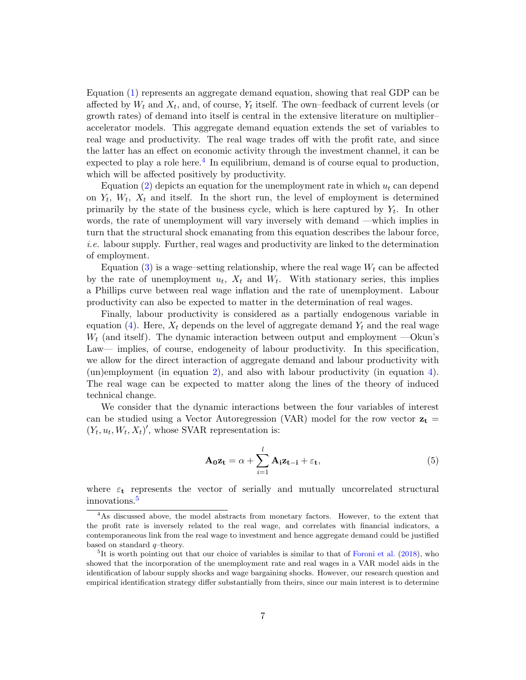Equation [\(1\)](#page-7-1) represents an aggregate demand equation, showing that real GDP can be affected by  $W_t$  and  $X_t$ , and, of course,  $Y_t$  itself. The own–feedback of current levels (or growth rates) of demand into itself is central in the extensive literature on multiplier– accelerator models. This aggregate demand equation extends the set of variables to real wage and productivity. The real wage trades off with the profit rate, and since the latter has an effect on economic activity through the investment channel, it can be expected to play a role here.<sup>[4](#page-8-0)</sup> In equilibrium, demand is of course equal to production, which will be affected positively by productivity.

Equation [\(2\)](#page-7-2) depicts an equation for the unemployment rate in which  $u_t$  can depend on  $Y_t$ ,  $W_t$ ,  $X_t$  and itself. In the short run, the level of employment is determined primarily by the state of the business cycle, which is here captured by  $Y_t$ . In other words, the rate of unemployment will vary inversely with demand —which implies in turn that the structural shock emanating from this equation describes the labour force, i.e. labour supply. Further, real wages and productivity are linked to the determination of employment.

Equation [\(3\)](#page-7-3) is a wage–setting relationship, where the real wage  $W_t$  can be affected by the rate of unemployment  $u_t$ ,  $X_t$  and  $W_t$ . With stationary series, this implies a Phillips curve between real wage inflation and the rate of unemployment. Labour productivity can also be expected to matter in the determination of real wages.

Finally, labour productivity is considered as a partially endogenous variable in equation [\(4\)](#page-7-4). Here,  $X_t$  depends on the level of aggregate demand  $Y_t$  and the real wage  $W_t$  (and itself). The dynamic interaction between output and employment  $-$ Okun's Law— implies, of course, endogeneity of labour productivity. In this specification, we allow for the direct interaction of aggregate demand and labour productivity with (un)employment (in equation [2\)](#page-7-2), and also with labour productivity (in equation [4\)](#page-7-4). The real wage can be expected to matter along the lines of the theory of induced technical change.

We consider that the dynamic interactions between the four variables of interest can be studied using a Vector Autoregression (VAR) model for the row vector  $z_t =$  $(Y_t, u_t, W_t, X_t)'$ , whose SVAR representation is:

$$
\mathbf{A_0 z_t} = \alpha + \sum_{i=1}^{l} \mathbf{A_i z_{t-i}} + \varepsilon_t, \tag{5}
$$

where  $\varepsilon_t$  represents the vector of serially and mutually uncorrelated structural innovations.<sup>[5](#page-8-1)</sup>

<span id="page-8-0"></span><sup>4</sup>As discussed above, the model abstracts from monetary factors. However, to the extent that the profit rate is inversely related to the real wage, and correlates with financial indicators, a contemporaneous link from the real wage to investment and hence aggregate demand could be justified based on standard  $q$ –theory.

<span id="page-8-1"></span><sup>&</sup>lt;sup>5</sup>It is worth pointing out that our choice of variables is similar to that of [Foroni et al.](#page-19-7) [\(2018\)](#page-19-7), who showed that the incorporation of the unemployment rate and real wages in a VAR model aids in the identification of labour supply shocks and wage bargaining shocks. However, our research question and empirical identification strategy differ substantially from theirs, since our main interest is to determine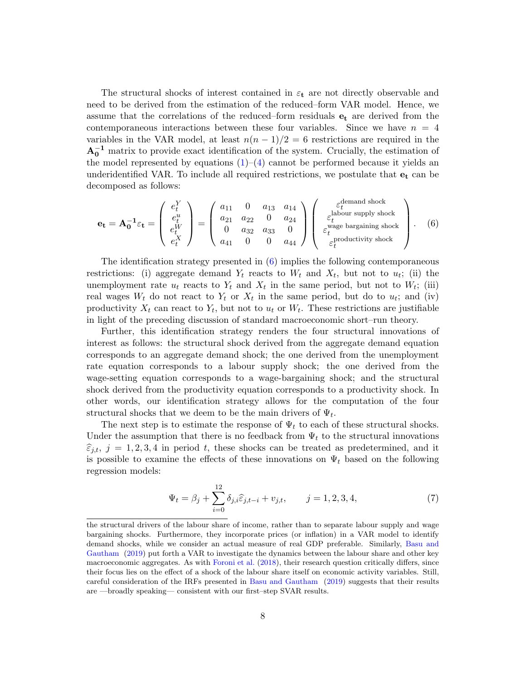The structural shocks of interest contained in  $\varepsilon_t$  are not directly observable and need to be derived from the estimation of the reduced–form VAR model. Hence, we assume that the correlations of the reduced–form residuals  $e_t$  are derived from the contemporaneous interactions between these four variables. Since we have  $n = 4$ variables in the VAR model, at least  $n(n-1)/2 = 6$  restrictions are required in the  $A_0^{-1}$  matrix to provide exact identification of the system. Crucially, the estimation of the model represented by equations  $(1)$ – $(4)$  cannot be performed because it yields an underidentified VAR. To include all required restrictions, we postulate that  $e_t$  can be decomposed as follows:

<span id="page-9-0"></span>
$$
\mathbf{e}_{t} = \mathbf{A}_{0}^{-1} \varepsilon_{t} = \begin{pmatrix} e_{t}^{Y} \\ e_{t}^{u} \\ e_{t}^{X} \\ e_{t}^{X} \end{pmatrix} = \begin{pmatrix} a_{11} & 0 & a_{13} & a_{14} \\ a_{21} & a_{22} & 0 & a_{24} \\ 0 & a_{32} & a_{33} & 0 \\ a_{41} & 0 & 0 & a_{44} \end{pmatrix} \begin{pmatrix} \varepsilon_{t}^{\text{demand shock}} \\ \varepsilon_{t}^{\text{labor supply shock}} \\ \varepsilon_{t}^{\text{wage bargaining shock}} \\ \varepsilon_{t}^{\text{productivity shock}} \end{pmatrix} .
$$
 (6)

The identification strategy presented in  $(6)$  implies the following contemporaneous restrictions: (i) aggregate demand  $Y_t$  reacts to  $W_t$  and  $X_t$ , but not to  $u_t$ ; (ii) the unemployment rate  $u_t$  reacts to  $Y_t$  and  $X_t$  in the same period, but not to  $W_t$ ; (iii) real wages  $W_t$  do not react to  $Y_t$  or  $X_t$  in the same period, but do to  $u_t$ ; and (iv) productivity  $X_t$  can react to  $Y_t$ , but not to  $u_t$  or  $W_t$ . These restrictions are justifiable in light of the preceding discussion of standard macroeconomic short–run theory.

Further, this identification strategy renders the four structural innovations of interest as follows: the structural shock derived from the aggregate demand equation corresponds to an aggregate demand shock; the one derived from the unemployment rate equation corresponds to a labour supply shock; the one derived from the wage-setting equation corresponds to a wage-bargaining shock; and the structural shock derived from the productivity equation corresponds to a productivity shock. In other words, our identification strategy allows for the computation of the four structural shocks that we deem to be the main drivers of  $\Psi_t$ .

The next step is to estimate the response of  $\Psi_t$  to each of these structural shocks. Under the assumption that there is no feedback from  $\Psi_t$  to the structural innovations  $\hat{\epsilon}_{j,t}, j = 1, 2, 3, 4$  in period t, these shocks can be treated as predetermined, and it is possible to examine the effects of these innovations on  $\Psi_t$  based on the following regression models:

<span id="page-9-1"></span>
$$
\Psi_t = \beta_j + \sum_{i=0}^{12} \delta_{j,i} \hat{\varepsilon}_{j,t-i} + v_{j,t}, \qquad j = 1, 2, 3, 4,
$$
\n(7)

the structural drivers of the labour share of income, rather than to separate labour supply and wage bargaining shocks. Furthermore, they incorporate prices (or inflation) in a VAR model to identify demand shocks, while we consider an actual measure of real GDP preferable. Similarly, [Basu and](#page-19-8) [Gautham](#page-19-8) [\(2019\)](#page-19-8) put forth a VAR to investigate the dynamics between the labour share and other key macroeconomic aggregates. As with [Foroni et al.](#page-19-7) [\(2018\)](#page-19-7), their research question critically differs, since their focus lies on the effect of a shock of the labour share itself on economic activity variables. Still, careful consideration of the IRFs presented in [Basu and Gautham](#page-19-8) [\(2019\)](#page-19-8) suggests that their results are —broadly speaking— consistent with our first–step SVAR results.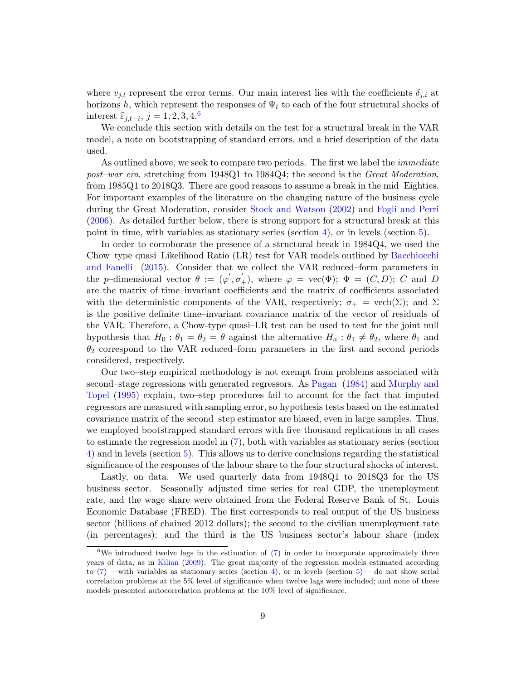where  $v_{j,t}$  represent the error terms. Our main interest lies with the coefficients  $\delta_{j,i}$  at horizons h, which represent the responses of  $\Psi_t$  to each of the four structural shocks of interest  $\hat{\varepsilon}_{j,t-i}, j = 1, 2, 3, 4.6$  $\hat{\varepsilon}_{j,t-i}, j = 1, 2, 3, 4.6$ <br>We conclude this section

We conclude this section with details on the test for a structural break in the VAR model, a note on bootstrapping of standard errors, and a brief description of the data used.

As outlined above, we seek to compare two periods. The first we label the *immediate* post–war era, stretching from 1948Q1 to 1984Q4; the second is the Great Moderation, from 1985Q1 to 2018Q3. There are good reasons to assume a break in the mid–Eighties. For important examples of the literature on the changing nature of the business cycle during the Great Moderation, consider [Stock and Watson](#page-21-0) [\(2002\)](#page-21-0) and [Fogli and Perri](#page-19-9) [\(2006\)](#page-19-9). As detailed further below, there is strong support for a structural break at this point in time, with variables as stationary series (section [4\)](#page-11-0), or in levels (section  $5$ ).

In order to corroborate the presence of a structural break in 1984Q4, we used the Chow–type quasi–Likelihood Ratio (LR) test for VAR models outlined by [Bacchiocchi](#page-19-10) [and Fanelli](#page-19-10) [\(2015\)](#page-19-10). Consider that we collect the VAR reduced–form parameters in the p-dimensional vector  $\theta := (\varphi', \sigma'_+),$  where  $\varphi = \text{vec}(\Phi)$ ;  $\Phi = (C, D)$ ; C and D are the matrix of time–invariant coefficients and the matrix of coefficients associated with the deterministic components of the VAR, respectively;  $\sigma_{+} = \text{vech}(\Sigma)$ ; and  $\Sigma$ is the positive definite time–invariant covariance matrix of the vector of residuals of the VAR. Therefore, a Chow-type quasi–LR test can be used to test for the joint null hypothesis that  $H_0: \theta_1 = \theta_2 = \theta$  against the alternative  $H_a: \theta_1 \neq \theta_2$ , where  $\theta_1$  and  $\theta_2$  correspond to the VAR reduced–form parameters in the first and second periods considered, respectively.

Our two–step empirical methodology is not exempt from problems associated with second–stage regressions with generated regressors. As [Pagan](#page-20-8) [\(1984\)](#page-20-8) and [Murphy and](#page-20-9) [Topel](#page-20-9) [\(1995\)](#page-20-9) explain, two–step procedures fail to account for the fact that imputed regressors are measured with sampling error, so hypothesis tests based on the estimated covariance matrix of the second–step estimator are biased, even in large samples. Thus, we employed bootstrapped standard errors with five thousand replications in all cases to estimate the regression model in [\(7\)](#page-9-1), both with variables as stationary series (section [4\)](#page-11-0) and in levels (section [5\)](#page-14-0). This allows us to derive conclusions regarding the statistical significance of the responses of the labour share to the four structural shocks of interest.

Lastly, on data. We used quarterly data from 1948Q1 to 2018Q3 for the US business sector. Seasonally adjusted time–series for real GDP, the unemployment rate, and the wage share were obtained from the Federal Reserve Bank of St. Louis Economic Database (FRED). The first corresponds to real output of the US business sector (billions of chained 2012 dollars); the second to the civilian unemployment rate (in percentages); and the third is the US business sector's labour share (index

<span id="page-10-0"></span> $6$ We introduced twelve lags in the estimation of  $(7)$  in order to incorporate approximately three years of data, as in [Kilian](#page-20-7) [\(2009\)](#page-20-7). The great majority of the regression models estimated according to  $(7)$  —with variables as stationary series (section [4\)](#page-11-0), or in levels (section [5\)](#page-14-0)— do not show serial correlation problems at the 5% level of significance when twelve lags were included; and none of these models presented autocorrelation problems at the 10% level of significance.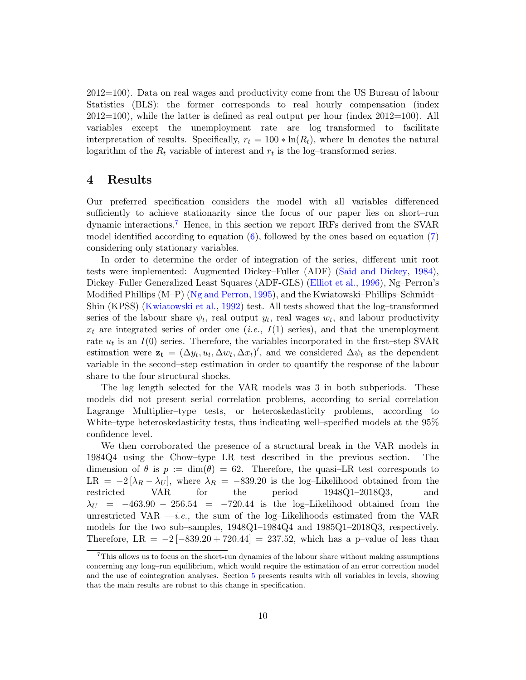2012=100). Data on real wages and productivity come from the US Bureau of labour Statistics (BLS): the former corresponds to real hourly compensation (index  $2012=100$ , while the latter is defined as real output per hour (index  $2012=100$ ). All variables except the unemployment rate are log–transformed to facilitate interpretation of results. Specifically,  $r_t = 100 * \ln(R_t)$ , where ln denotes the natural logarithm of the  $R_t$  variable of interest and  $r_t$  is the log-transformed series.

### <span id="page-11-0"></span>4 Results

Our preferred specification considers the model with all variables differenced sufficiently to achieve stationarity since the focus of our paper lies on short–run dynamic interactions.<sup>[7](#page-11-1)</sup> Hence, in this section we report IRFs derived from the SVAR model identified according to equation  $(6)$ , followed by the ones based on equation  $(7)$ considering only stationary variables.

In order to determine the order of integration of the series, different unit root tests were implemented: Augmented Dickey–Fuller (ADF) [\(Said and Dickey,](#page-21-1) [1984\)](#page-21-1), Dickey–Fuller Generalized Least Squares (ADF-GLS) [\(Elliot et al.,](#page-19-11) [1996\)](#page-19-11), Ng–Perron's Modified Phillips (M–P) [\(Ng and Perron,](#page-20-10) [1995\)](#page-20-10), and the Kwiatowski–Phillips–Schmidt– Shin (KPSS) [\(Kwiatowski et al.,](#page-20-11) [1992\)](#page-20-11) test. All tests showed that the log–transformed series of the labour share  $\psi_t$ , real output  $y_t$ , real wages  $w_t$ , and labour productivity  $x_t$  are integrated series of order one (*i.e.*,  $I(1)$  series), and that the unemployment rate  $u_t$  is an  $I(0)$  series. Therefore, the variables incorporated in the first-step SVAR estimation were  $\mathbf{z_t} = (\Delta y_t, u_t, \Delta w_t, \Delta x_t)'$ , and we considered  $\Delta \psi_t$  as the dependent variable in the second–step estimation in order to quantify the response of the labour share to the four structural shocks.

The lag length selected for the VAR models was 3 in both subperiods. These models did not present serial correlation problems, according to serial correlation Lagrange Multiplier–type tests, or heteroskedasticity problems, according to White–type heteroskedasticity tests, thus indicating well–specified models at the 95% confidence level.

We then corroborated the presence of a structural break in the VAR models in 1984Q4 using the Chow–type LR test described in the previous section. The dimension of  $\theta$  is  $p := \dim(\theta) = 62$ . Therefore, the quasi-LR test corresponds to LR =  $-2[\lambda_R - \lambda_U]$ , where  $\lambda_R$  = -839.20 is the log-Likelihood obtained from the restricted VAR for the period 1948Q1–2018Q3, and  $\lambda_U$  = -463.90 – 256.54 = -720.44 is the log-Likelihood obtained from the unrestricted VAR  $-i.e.,$  the sum of the log-Likelihoods estimated from the VAR models for the two sub–samples, 1948Q1–1984Q4 and 1985Q1–2018Q3, respectively. Therefore, LR =  $-2[-839.20 + 720.44] = 237.52$ , which has a p-value of less than

<span id="page-11-1"></span><sup>7</sup>This allows us to focus on the short-run dynamics of the labour share without making assumptions concerning any long–run equilibrium, which would require the estimation of an error correction model and the use of cointegration analyses. Section [5](#page-14-0) presents results with all variables in levels, showing that the main results are robust to this change in specification.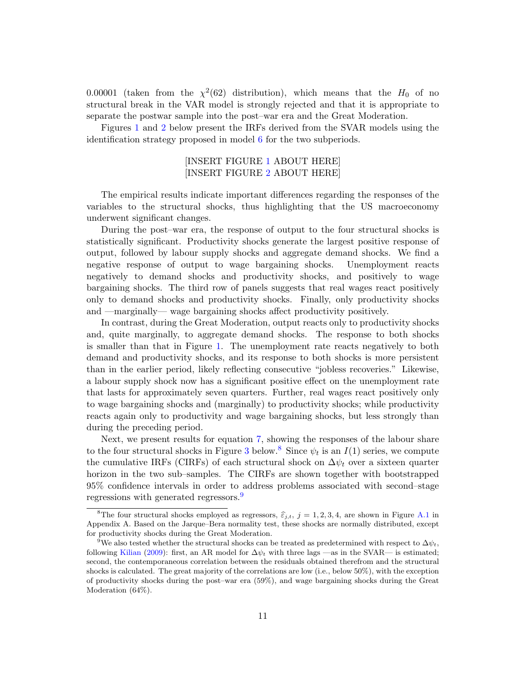0.00001 (taken from the  $\chi^2(62)$  distribution), which means that the  $H_0$  of no structural break in the VAR model is strongly rejected and that it is appropriate to separate the postwar sample into the post–war era and the Great Moderation.

Figures [1](#page-22-0) and [2](#page-23-0) below present the IRFs derived from the SVAR models using the identification strategy proposed in model [6](#page-9-0) for the two subperiods.

### [INSERT FIGURE [1](#page-22-0) ABOUT HERE] [INSERT FIGURE [2](#page-23-0) ABOUT HERE]

The empirical results indicate important differences regarding the responses of the variables to the structural shocks, thus highlighting that the US macroeconomy underwent significant changes.

During the post–war era, the response of output to the four structural shocks is statistically significant. Productivity shocks generate the largest positive response of output, followed by labour supply shocks and aggregate demand shocks. We find a negative response of output to wage bargaining shocks. Unemployment reacts negatively to demand shocks and productivity shocks, and positively to wage bargaining shocks. The third row of panels suggests that real wages react positively only to demand shocks and productivity shocks. Finally, only productivity shocks and —marginally— wage bargaining shocks affect productivity positively.

In contrast, during the Great Moderation, output reacts only to productivity shocks and, quite marginally, to aggregate demand shocks. The response to both shocks is smaller than that in Figure [1.](#page-22-0) The unemployment rate reacts negatively to both demand and productivity shocks, and its response to both shocks is more persistent than in the earlier period, likely reflecting consecutive "jobless recoveries." Likewise, a labour supply shock now has a significant positive effect on the unemployment rate that lasts for approximately seven quarters. Further, real wages react positively only to wage bargaining shocks and (marginally) to productivity shocks; while productivity reacts again only to productivity and wage bargaining shocks, but less strongly than during the preceding period.

Next, we present results for equation [7,](#page-9-1) showing the responses of the labour share to the four structural shocks in Figure [3](#page-24-0) below.<sup>[8](#page-12-0)</sup> Since  $\psi_t$  is an  $I(1)$  series, we compute the cumulative IRFs (CIRFs) of each structural shock on  $\Delta \psi_t$  over a sixteen quarter horizon in the two sub–samples. The CIRFs are shown together with bootstrapped 95% confidence intervals in order to address problems associated with second–stage regressions with generated regressors.[9](#page-12-1)

<span id="page-12-0"></span><sup>&</sup>lt;sup>8</sup>The four structural shocks employed as regressors,  $\hat{\epsilon}_{j,t}$ , j = 1, 2, 3, 4, are shown in Figure [A.1](#page-34-0) in Appendix A. Based on the Jarque–Bera normality test, these shocks are normally distributed, except for productivity shocks during the Great Moderation.

<span id="page-12-1"></span><sup>&</sup>lt;sup>9</sup>We also tested whether the structural shocks can be treated as predetermined with respect to  $\Delta \psi_t$ , following [Kilian](#page-20-7) [\(2009\)](#page-20-7): first, an AR model for  $\Delta \psi_t$  with three lags —as in the SVAR— is estimated; second, the contemporaneous correlation between the residuals obtained therefrom and the structural shocks is calculated. The great majority of the correlations are low (i.e., below 50%), with the exception of productivity shocks during the post–war era (59%), and wage bargaining shocks during the Great Moderation (64%).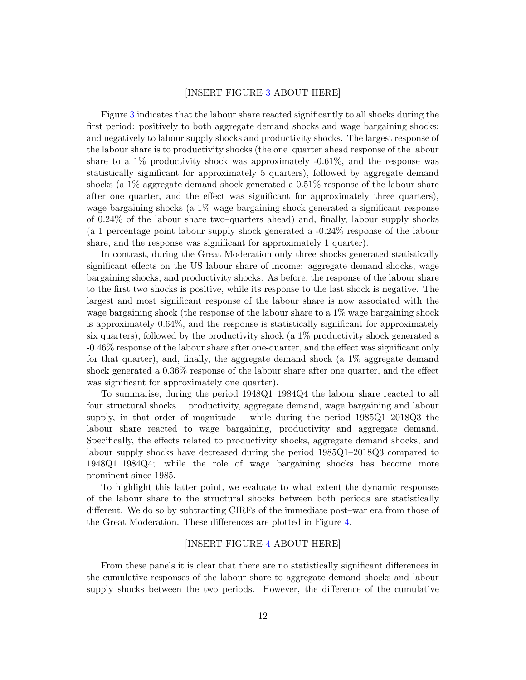#### [INSERT FIGURE [3](#page-24-0) ABOUT HERE]

Figure [3](#page-24-0) indicates that the labour share reacted significantly to all shocks during the first period: positively to both aggregate demand shocks and wage bargaining shocks; and negatively to labour supply shocks and productivity shocks. The largest response of the labour share is to productivity shocks (the one–quarter ahead response of the labour share to a  $1\%$  productivity shock was approximately  $-0.61\%$ , and the response was statistically significant for approximately 5 quarters), followed by aggregate demand shocks (a 1% aggregate demand shock generated a 0.51% response of the labour share after one quarter, and the effect was significant for approximately three quarters), wage bargaining shocks (a 1% wage bargaining shock generated a significant response of 0.24% of the labour share two–quarters ahead) and, finally, labour supply shocks (a 1 percentage point labour supply shock generated a -0.24% response of the labour share, and the response was significant for approximately 1 quarter).

In contrast, during the Great Moderation only three shocks generated statistically significant effects on the US labour share of income: aggregate demand shocks, wage bargaining shocks, and productivity shocks. As before, the response of the labour share to the first two shocks is positive, while its response to the last shock is negative. The largest and most significant response of the labour share is now associated with the wage bargaining shock (the response of the labour share to a 1% wage bargaining shock is approximately 0.64%, and the response is statistically significant for approximately six quarters), followed by the productivity shock (a 1% productivity shock generated a -0.46% response of the labour share after one-quarter, and the effect was significant only for that quarter), and, finally, the aggregate demand shock (a 1% aggregate demand shock generated a 0.36% response of the labour share after one quarter, and the effect was significant for approximately one quarter).

To summarise, during the period 1948Q1–1984Q4 the labour share reacted to all four structural shocks —productivity, aggregate demand, wage bargaining and labour supply, in that order of magnitude— while during the period 1985Q1–2018Q3 the labour share reacted to wage bargaining, productivity and aggregate demand. Specifically, the effects related to productivity shocks, aggregate demand shocks, and labour supply shocks have decreased during the period 1985Q1–2018Q3 compared to 1948Q1–1984Q4; while the role of wage bargaining shocks has become more prominent since 1985.

To highlight this latter point, we evaluate to what extent the dynamic responses of the labour share to the structural shocks between both periods are statistically different. We do so by subtracting CIRFs of the immediate post–war era from those of the Great Moderation. These differences are plotted in Figure [4.](#page-25-0)

#### [INSERT FIGURE [4](#page-25-0) ABOUT HERE]

From these panels it is clear that there are no statistically significant differences in the cumulative responses of the labour share to aggregate demand shocks and labour supply shocks between the two periods. However, the difference of the cumulative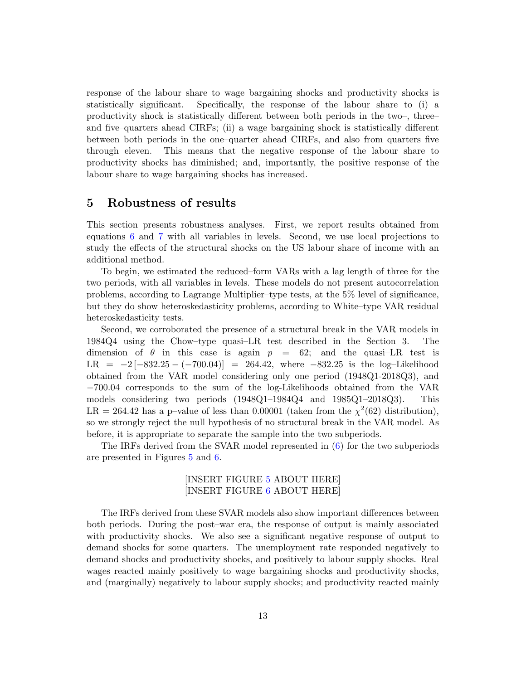response of the labour share to wage bargaining shocks and productivity shocks is statistically significant. Specifically, the response of the labour share to (i) a productivity shock is statistically different between both periods in the two–, three– and five–quarters ahead CIRFs; (ii) a wage bargaining shock is statistically different between both periods in the one–quarter ahead CIRFs, and also from quarters five through eleven. This means that the negative response of the labour share to productivity shocks has diminished; and, importantly, the positive response of the labour share to wage bargaining shocks has increased.

### <span id="page-14-0"></span>5 Robustness of results

This section presents robustness analyses. First, we report results obtained from equations [6](#page-9-0) and [7](#page-9-1) with all variables in levels. Second, we use local projections to study the effects of the structural shocks on the US labour share of income with an additional method.

To begin, we estimated the reduced–form VARs with a lag length of three for the two periods, with all variables in levels. These models do not present autocorrelation problems, according to Lagrange Multiplier–type tests, at the 5% level of significance, but they do show heteroskedasticity problems, according to White–type VAR residual heteroskedasticity tests.

Second, we corroborated the presence of a structural break in the VAR models in 1984Q4 using the Chow–type quasi–LR test described in the Section 3. The dimension of  $\theta$  in this case is again  $p = 62$ ; and the quasi-LR test is LR  $= -2[-832.25 - (-700.04)] = 264.42$ , where  $-832.25$  is the log–Likelihood obtained from the VAR model considering only one period (1948Q1-2018Q3), and −700.04 corresponds to the sum of the log-Likelihoods obtained from the VAR models considering two periods (1948Q1–1984Q4 and 1985Q1–2018Q3). This  $LR = 264.42$  has a p-value of less than 0.00001 (taken from the  $\chi^2(62)$  distribution), so we strongly reject the null hypothesis of no structural break in the VAR model. As before, it is appropriate to separate the sample into the two subperiods.

The IRFs derived from the SVAR model represented in [\(6\)](#page-9-0) for the two subperiods are presented in Figures [5](#page-26-0) and [6.](#page-27-0)

### [INSERT FIGURE [5](#page-26-0) ABOUT HERE] [INSERT FIGURE [6](#page-27-0) ABOUT HERE]

The IRFs derived from these SVAR models also show important differences between both periods. During the post–war era, the response of output is mainly associated with productivity shocks. We also see a significant negative response of output to demand shocks for some quarters. The unemployment rate responded negatively to demand shocks and productivity shocks, and positively to labour supply shocks. Real wages reacted mainly positively to wage bargaining shocks and productivity shocks, and (marginally) negatively to labour supply shocks; and productivity reacted mainly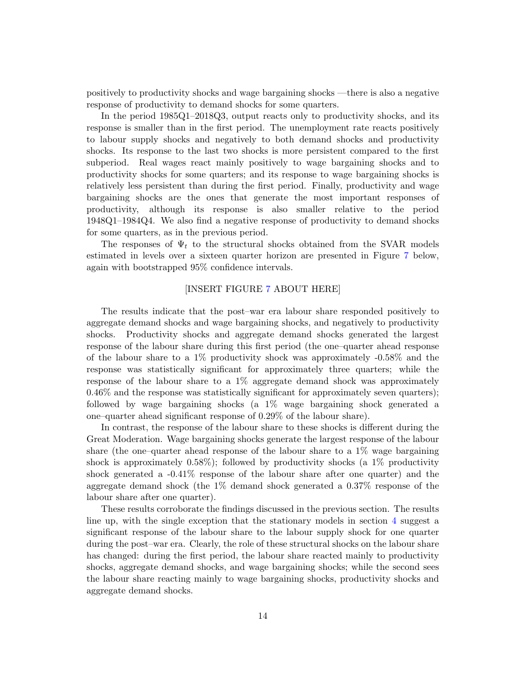positively to productivity shocks and wage bargaining shocks —there is also a negative response of productivity to demand shocks for some quarters.

In the period 1985Q1–2018Q3, output reacts only to productivity shocks, and its response is smaller than in the first period. The unemployment rate reacts positively to labour supply shocks and negatively to both demand shocks and productivity shocks. Its response to the last two shocks is more persistent compared to the first subperiod. Real wages react mainly positively to wage bargaining shocks and to productivity shocks for some quarters; and its response to wage bargaining shocks is relatively less persistent than during the first period. Finally, productivity and wage bargaining shocks are the ones that generate the most important responses of productivity, although its response is also smaller relative to the period 1948Q1–1984Q4. We also find a negative response of productivity to demand shocks for some quarters, as in the previous period.

The responses of  $\Psi_t$  to the structural shocks obtained from the SVAR models estimated in levels over a sixteen quarter horizon are presented in Figure [7](#page-28-0) below, again with bootstrapped 95% confidence intervals.

#### [INSERT FIGURE [7](#page-28-0) ABOUT HERE]

The results indicate that the post–war era labour share responded positively to aggregate demand shocks and wage bargaining shocks, and negatively to productivity shocks. Productivity shocks and aggregate demand shocks generated the largest response of the labour share during this first period (the one–quarter ahead response of the labour share to a  $1\%$  productivity shock was approximately  $-0.58\%$  and the response was statistically significant for approximately three quarters; while the response of the labour share to a 1% aggregate demand shock was approximately 0.46% and the response was statistically significant for approximately seven quarters); followed by wage bargaining shocks (a 1% wage bargaining shock generated a one–quarter ahead significant response of 0.29% of the labour share).

In contrast, the response of the labour share to these shocks is different during the Great Moderation. Wage bargaining shocks generate the largest response of the labour share (the one–quarter ahead response of the labour share to a  $1\%$  wage bargaining shock is approximately  $0.58\%$ ); followed by productivity shocks (a  $1\%$  productivity shock generated a -0.41% response of the labour share after one quarter) and the aggregate demand shock (the 1% demand shock generated a 0.37% response of the labour share after one quarter).

These results corroborate the findings discussed in the previous section. The results line up, with the single exception that the stationary models in section [4](#page-11-0) suggest a significant response of the labour share to the labour supply shock for one quarter during the post–war era. Clearly, the role of these structural shocks on the labour share has changed: during the first period, the labour share reacted mainly to productivity shocks, aggregate demand shocks, and wage bargaining shocks; while the second sees the labour share reacting mainly to wage bargaining shocks, productivity shocks and aggregate demand shocks.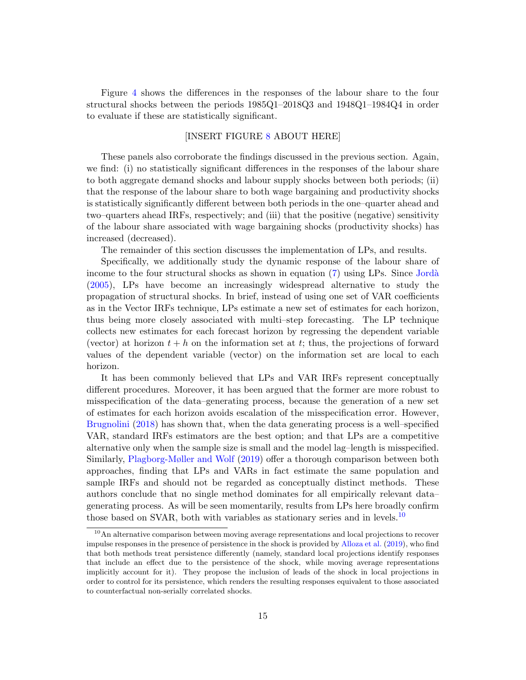Figure [4](#page-25-0) shows the differences in the responses of the labour share to the four structural shocks between the periods 1985Q1–2018Q3 and 1948Q1–1984Q4 in order to evaluate if these are statistically significant.

#### [INSERT FIGURE [8](#page-29-0) ABOUT HERE]

These panels also corroborate the findings discussed in the previous section. Again, we find: (i) no statistically significant differences in the responses of the labour share to both aggregate demand shocks and labour supply shocks between both periods; (ii) that the response of the labour share to both wage bargaining and productivity shocks is statistically significantly different between both periods in the one–quarter ahead and two–quarters ahead IRFs, respectively; and (iii) that the positive (negative) sensitivity of the labour share associated with wage bargaining shocks (productivity shocks) has increased (decreased).

The remainder of this section discusses the implementation of LPs, and results.

Specifically, we additionally study the dynamic response of the labour share of income to the four structural shocks as shown in equation  $(7)$  using LPs. Since Jordà [\(2005\)](#page-20-12), LPs have become an increasingly widespread alternative to study the propagation of structural shocks. In brief, instead of using one set of VAR coefficients as in the Vector IRFs technique, LPs estimate a new set of estimates for each horizon, thus being more closely associated with multi–step forecasting. The LP technique collects new estimates for each forecast horizon by regressing the dependent variable (vector) at horizon  $t + h$  on the information set at t; thus, the projections of forward values of the dependent variable (vector) on the information set are local to each horizon.

It has been commonly believed that LPs and VAR IRFs represent conceptually different procedures. Moreover, it has been argued that the former are more robust to misspecification of the data–generating process, because the generation of a new set of estimates for each horizon avoids escalation of the misspecification error. However, [Brugnolini](#page-19-12) [\(2018\)](#page-19-12) has shown that, when the data generating process is a well–specified VAR, standard IRFs estimators are the best option; and that LPs are a competitive alternative only when the sample size is small and the model lag–length is misspecified. Similarly, [Plagborg-Møller and Wolf](#page-20-13) [\(2019\)](#page-20-13) offer a thorough comparison between both approaches, finding that LPs and VARs in fact estimate the same population and sample IRFs and should not be regarded as conceptually distinct methods. These authors conclude that no single method dominates for all empirically relevant data– generating process. As will be seen momentarily, results from LPs here broadly confirm those based on SVAR, both with variables as stationary series and in levels.<sup>[10](#page-16-0)</sup>

<span id="page-16-0"></span><sup>&</sup>lt;sup>10</sup>An alternative comparison between moving average representations and local projections to recover impulse responses in the presence of persistence in the shock is provided by [Alloza et al.](#page-18-1) [\(2019\)](#page-18-1), who find that both methods treat persistence differently (namely, standard local projections identify responses that include an effect due to the persistence of the shock, while moving average representations implicitly account for it). They propose the inclusion of leads of the shock in local projections in order to control for its persistence, which renders the resulting responses equivalent to those associated to counterfactual non-serially correlated shocks.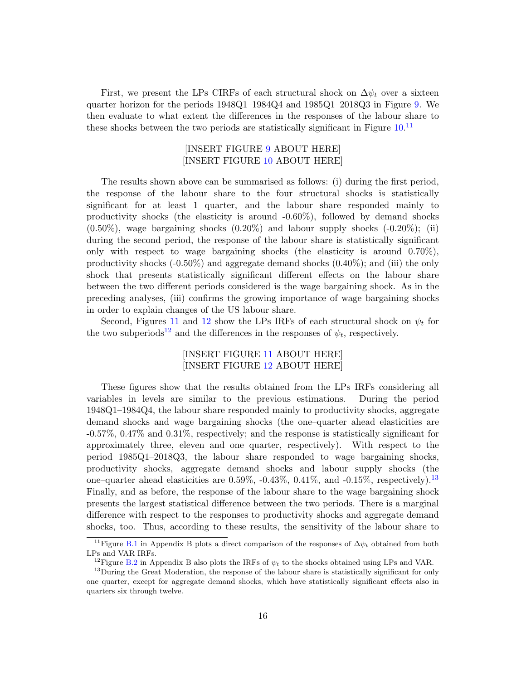First, we present the LPs CIRFs of each structural shock on  $\Delta \psi_t$  over a sixteen quarter horizon for the periods 1948Q1–1984Q4 and 1985Q1–2018Q3 in Figure [9.](#page-30-0) We then evaluate to what extent the differences in the responses of the labour share to these shocks between the two periods are statistically significant in Figure  $10<sup>11</sup>$  $10<sup>11</sup>$  $10<sup>11</sup>$ 

#### [INSERT FIGURE [9](#page-30-0) ABOUT HERE] [INSERT FIGURE [10](#page-31-0) ABOUT HERE]

The results shown above can be summarised as follows: (i) during the first period, the response of the labour share to the four structural shocks is statistically significant for at least 1 quarter, and the labour share responded mainly to productivity shocks (the elasticity is around -0.60%), followed by demand shocks  $(0.50\%)$ , wage bargaining shocks  $(0.20\%)$  and labour supply shocks  $(-0.20\%)$ ; (ii) during the second period, the response of the labour share is statistically significant only with respect to wage bargaining shocks (the elasticity is around  $0.70\%$ ), productivity shocks  $(-0.50\%)$  and aggregate demand shocks  $(0.40\%)$ ; and (iii) the only shock that presents statistically significant different effects on the labour share between the two different periods considered is the wage bargaining shock. As in the preceding analyses, (iii) confirms the growing importance of wage bargaining shocks in order to explain changes of the US labour share.

Second, Figures [11](#page-32-0) and [12](#page-33-0) show the LPs IRFs of each structural shock on  $\psi_t$  for the two subperiods<sup>[12](#page-17-1)</sup> and the differences in the responses of  $\psi_t$ , respectively.

### [INSERT FIGURE [11](#page-32-0) ABOUT HERE] [INSERT FIGURE [12](#page-33-0) ABOUT HERE]

These figures show that the results obtained from the LPs IRFs considering all variables in levels are similar to the previous estimations. During the period 1948Q1–1984Q4, the labour share responded mainly to productivity shocks, aggregate demand shocks and wage bargaining shocks (the one–quarter ahead elasticities are -0.57%, 0.47% and 0.31%, respectively; and the response is statistically significant for approximately three, eleven and one quarter, respectively). With respect to the period 1985Q1–2018Q3, the labour share responded to wage bargaining shocks, productivity shocks, aggregate demand shocks and labour supply shocks (the one–quarter ahead elasticities are  $0.59\%$ ,  $-0.43\%$ ,  $0.41\%$ , and  $-0.15\%$ , respectively).<sup>[13](#page-17-2)</sup> Finally, and as before, the response of the labour share to the wage bargaining shock presents the largest statistical difference between the two periods. There is a marginal difference with respect to the responses to productivity shocks and aggregate demand shocks, too. Thus, according to these results, the sensitivity of the labour share to

<span id="page-17-0"></span><sup>&</sup>lt;sup>11</sup>Figure [B.1](#page-35-0) in Appendix B plots a direct comparison of the responses of  $\Delta \psi_t$  obtained from both LPs and VAR IRFs.

<span id="page-17-2"></span><span id="page-17-1"></span><sup>&</sup>lt;sup>12</sup>Figure [B.2](#page-36-0) in Appendix B also plots the IRFs of  $\psi_t$  to the shocks obtained using LPs and VAR.

<sup>&</sup>lt;sup>13</sup>During the Great Moderation, the response of the labour share is statistically significant for only one quarter, except for aggregate demand shocks, which have statistically significant effects also in quarters six through twelve.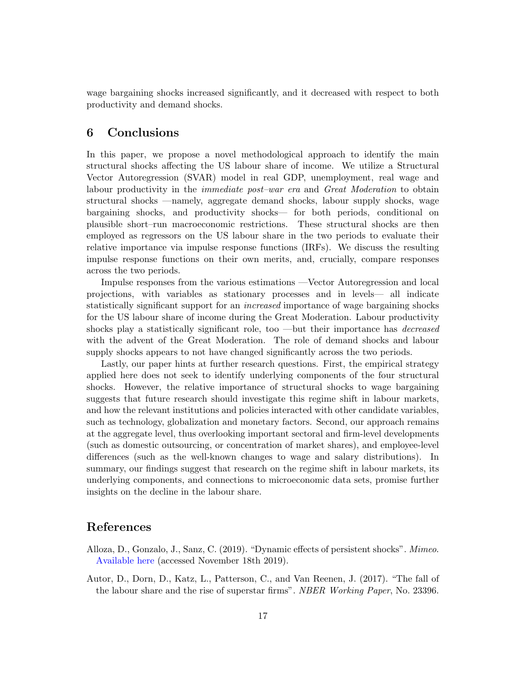wage bargaining shocks increased significantly, and it decreased with respect to both productivity and demand shocks.

### 6 Conclusions

In this paper, we propose a novel methodological approach to identify the main structural shocks affecting the US labour share of income. We utilize a Structural Vector Autoregression (SVAR) model in real GDP, unemployment, real wage and labour productivity in the immediate post–war era and Great Moderation to obtain structural shocks —namely, aggregate demand shocks, labour supply shocks, wage bargaining shocks, and productivity shocks— for both periods, conditional on plausible short–run macroeconomic restrictions. These structural shocks are then employed as regressors on the US labour share in the two periods to evaluate their relative importance via impulse response functions (IRFs). We discuss the resulting impulse response functions on their own merits, and, crucially, compare responses across the two periods.

Impulse responses from the various estimations —Vector Autoregression and local projections, with variables as stationary processes and in levels— all indicate statistically significant support for an increased importance of wage bargaining shocks for the US labour share of income during the Great Moderation. Labour productivity shocks play a statistically significant role, too —but their importance has decreased with the advent of the Great Moderation. The role of demand shocks and labour supply shocks appears to not have changed significantly across the two periods.

Lastly, our paper hints at further research questions. First, the empirical strategy applied here does not seek to identify underlying components of the four structural shocks. However, the relative importance of structural shocks to wage bargaining suggests that future research should investigate this regime shift in labour markets, and how the relevant institutions and policies interacted with other candidate variables, such as technology, globalization and monetary factors. Second, our approach remains at the aggregate level, thus overlooking important sectoral and firm-level developments (such as domestic outsourcing, or concentration of market shares), and employee-level differences (such as the well-known changes to wage and salary distributions). In summary, our findings suggest that research on the regime shift in labour markets, its underlying components, and connections to microeconomic data sets, promise further insights on the decline in the labour share.

### References

- <span id="page-18-1"></span>Alloza, D., Gonzalo, J., Sanz, C. (2019). "Dynamic effects of persistent shocks". Mimeo. [Available here](https://drive.google.com/file/d/16GPYuS4k4qsSi2iHfih9Rh3DINL7mJ1z/view) (accessed November 18th 2019).
- <span id="page-18-0"></span>Autor, D., Dorn, D., Katz, L., Patterson, C., and Van Reenen, J. (2017). "The fall of the labour share and the rise of superstar firms". *NBER Working Paper*, No. 23396.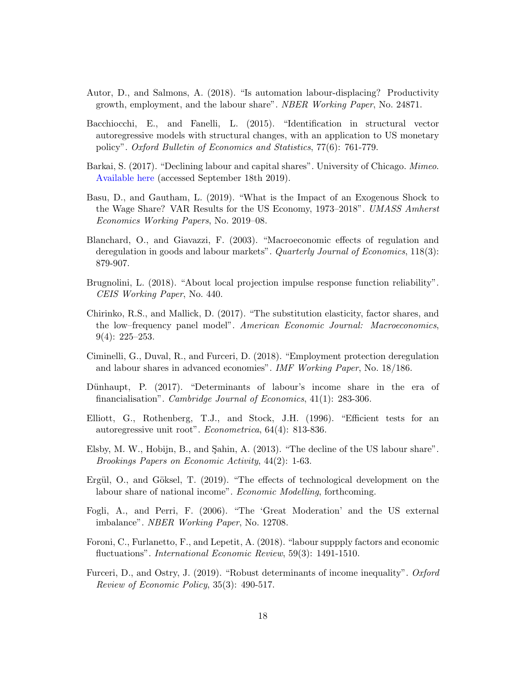- Autor, D., and Salmons, A. (2018). "Is automation labour-displacing? Productivity growth, employment, and the labour share". NBER Working Paper, No. 24871.
- <span id="page-19-10"></span>Bacchiocchi, E., and Fanelli, L. (2015). "Identification in structural vector autoregressive models with structural changes, with an application to US monetary policy". Oxford Bulletin of Economics and Statistics, 77(6): 761-779.
- <span id="page-19-5"></span>Barkai, S. (2017). "Declining labour and capital shares". University of Chicago. Mimeo. [Available here](https://home.uchicago.edu/~barkai/doc/BarkaiDeclininglabourCapital.pdf) (accessed September 18th 2019).
- <span id="page-19-8"></span>Basu, D., and Gautham, L. (2019). "What is the Impact of an Exogenous Shock to the Wage Share? VAR Results for the US Economy, 1973–2018". UMASS Amherst Economics Working Papers, No. 2019–08.
- <span id="page-19-3"></span>Blanchard, O., and Giavazzi, F. (2003). "Macroeconomic effects of regulation and deregulation in goods and labour markets". Quarterly Journal of Economics, 118(3): 879-907.
- <span id="page-19-12"></span>Brugnolini, L. (2018). "About local projection impulse response function reliability". CEIS Working Paper, No. 440.
- <span id="page-19-6"></span>Chirinko, R.S., and Mallick, D. (2017). "The substitution elasticity, factor shares, and the low–frequency panel model". American Economic Journal: Macroeconomics,  $9(4): 225 - 253.$
- <span id="page-19-2"></span>Ciminelli, G., Duval, R., and Furceri, D. (2018). "Employment protection deregulation and labour shares in advanced economies". IMF Working Paper, No. 18/186.
- <span id="page-19-1"></span>Dünhaupt, P. (2017). "Determinants of labour's income share in the era of financialisation". Cambridge Journal of Economics, 41(1): 283-306.
- <span id="page-19-11"></span>Elliott, G., Rothenberg, T.J., and Stock, J.H. (1996). "Efficient tests for an autoregressive unit root". Econometrica, 64(4): 813-836.
- <span id="page-19-0"></span>Elsby, M. W., Hobijn, B., and Sahin, A. (2013). "The decline of the US labour share". Brookings Papers on Economic Activity, 44(2): 1-63.
- <span id="page-19-4"></span>Ergül, O., and Göksel, T.  $(2019)$ . "The effects of technological development on the labour share of national income". Economic Modelling, forthcoming.
- <span id="page-19-9"></span>Fogli, A., and Perri, F. (2006). "The 'Great Moderation' and the US external imbalance". NBER Working Paper, No. 12708.
- <span id="page-19-7"></span>Foroni, C., Furlanetto, F., and Lepetit, A. (2018). "labour suppply factors and economic fluctuations". *International Economic Review*, 59(3): 1491-1510.
- Furceri, D., and Ostry, J. (2019). "Robust determinants of income inequality". Oxford Review of Economic Policy, 35(3): 490-517.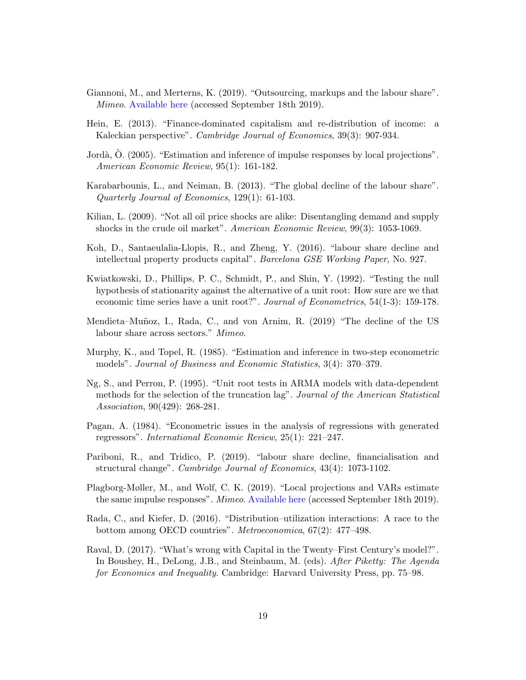- <span id="page-20-0"></span>Giannoni, M., and Merterns, K. (2019). "Outsourcing, markups and the labour share". Mimeo. [Available here](https://karelmertenscom.files.wordpress.com/2019/03/mg_outsourcing_03_20_2019.pdf) (accessed September 18th 2019).
- <span id="page-20-3"></span>Hein, E. (2013). "Finance-dominated capitalism and re-distribution of income: a Kaleckian perspective". Cambridge Journal of Economics, 39(3): 907-934.
- <span id="page-20-12"></span>Jordà,  $\dot{O}$ . (2005). "Estimation and inference of impulse responses by local projections". American Economic Review, 95(1): 161-182.
- <span id="page-20-5"></span>Karabarbounis, L., and Neiman, B. (2013). "The global decline of the labour share". Quarterly Journal of Economics, 129(1): 61-103.
- <span id="page-20-7"></span>Kilian, L. (2009). "Not all oil price shocks are alike: Disentangling demand and supply shocks in the crude oil market". American Economic Review, 99(3): 1053-1069.
- Koh, D., Santaeulalia-Llopis, R., and Zheng, Y. (2016). "labour share decline and intellectual property products capital". Barcelona GSE Working Paper, No. 927.
- <span id="page-20-11"></span>Kwiatkowski, D., Phillips, P. C., Schmidt, P., and Shin, Y. (1992). "Testing the null hypothesis of stationarity against the alternative of a unit root: How sure are we that economic time series have a unit root?". Journal of Econometrics, 54(1-3): 159-178.
- <span id="page-20-1"></span>Mendieta–Muñoz, I., Rada, C., and von Arnim, R. (2019) "The decline of the US labour share across sectors." Mimeo.
- <span id="page-20-9"></span>Murphy, K., and Topel, R. (1985). "Estimation and inference in two-step econometric models". Journal of Business and Economic Statistics, 3(4): 370–379.
- <span id="page-20-10"></span>Ng, S., and Perron, P. (1995). "Unit root tests in ARMA models with data-dependent methods for the selection of the truncation lag". Journal of the American Statistical Association, 90(429): 268-281.
- <span id="page-20-8"></span>Pagan, A. (1984). "Econometric issues in the analysis of regressions with generated regressors". International Economic Review, 25(1): 221–247.
- <span id="page-20-2"></span>Pariboni, R., and Tridico, P. (2019). "labour share decline, financialisation and structural change". Cambridge Journal of Economics, 43(4): 1073-1102.
- <span id="page-20-13"></span>Plagborg-Møller, M., and Wolf, C. K. (2019). "Local projections and VARs estimate the same impulse responses". Mimeo. [Available here](https://scholar.princeton.edu/sites/default/files/mikkelpm/files/lp_var.pdf) (accessed September 18th 2019).
- <span id="page-20-4"></span>Rada, C., and Kiefer, D. (2016). "Distribution–utilization interactions: A race to the bottom among OECD countries". Metroeconomica, 67(2): 477–498.
- <span id="page-20-6"></span>Raval, D. (2017). "What's wrong with Capital in the Twenty–First Century's model?". In Boushey, H., DeLong, J.B., and Steinbaum, M. (eds). After Piketty: The Agenda for Economics and Inequality. Cambridge: Harvard University Press, pp. 75–98.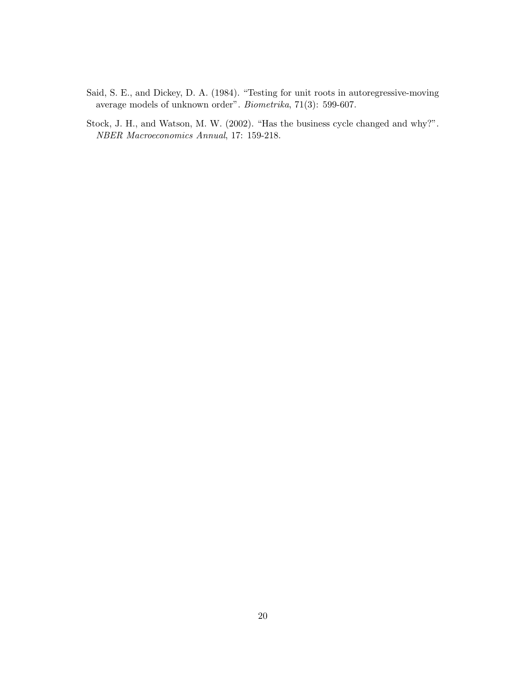- <span id="page-21-1"></span>Said, S. E., and Dickey, D. A. (1984). "Testing for unit roots in autoregressive-moving average models of unknown order". Biometrika, 71(3): 599-607.
- <span id="page-21-0"></span>Stock, J. H., and Watson, M. W. (2002). "Has the business cycle changed and why?". NBER Macroeconomics Annual, 17: 159-218.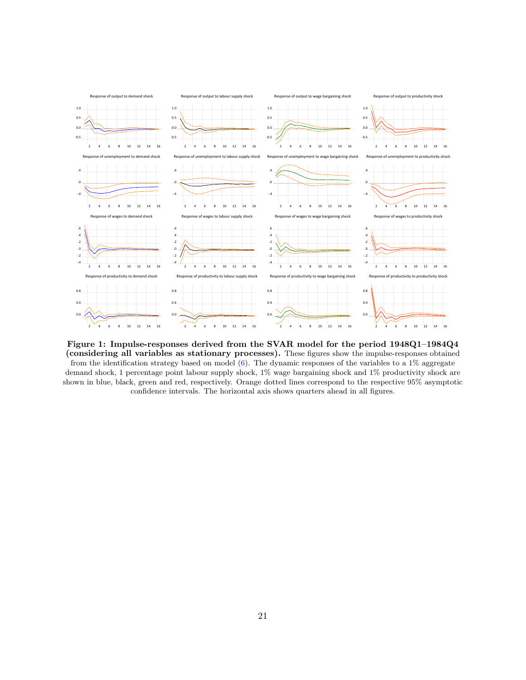<span id="page-22-0"></span>

Figure 1: Impulse-responses derived from the SVAR model for the period 1948Q1–1984Q4 (considering all variables as stationary processes). These figures show the impulse-responses obtained from the identification strategy based on model  $(6)$ . The dynamic responses of the variables to a 1% aggregate demand shock, 1 percentage point labour supply shock, 1% wage bargaining shock and 1% productivity shock are shown in blue, black, green and red, respectively. Orange dotted lines correspond to the respective 95% asymptotic confidence intervals. The horizontal axis shows quarters ahead in all figures.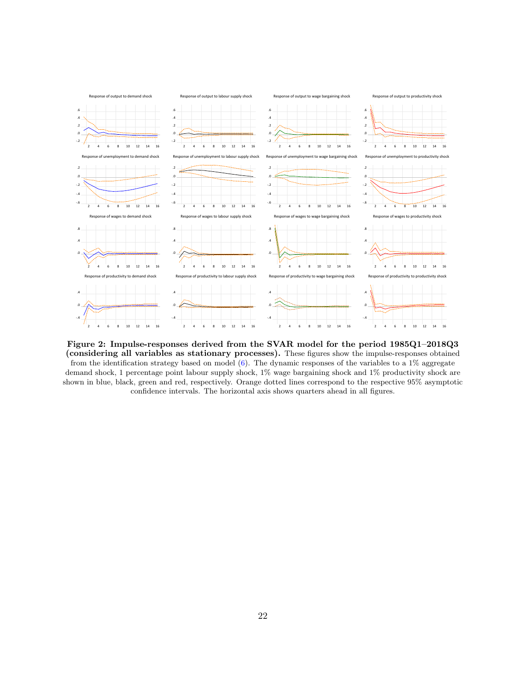<span id="page-23-0"></span>

Figure 2: Impulse-responses derived from the SVAR model for the period 1985Q1–2018Q3 (considering all variables as stationary processes). These figures show the impulse-responses obtained from the identification strategy based on model  $(6)$ . The dynamic responses of the variables to a 1% aggregate demand shock, 1 percentage point labour supply shock, 1% wage bargaining shock and 1% productivity shock are shown in blue, black, green and red, respectively. Orange dotted lines correspond to the respective 95% asymptotic confidence intervals. The horizontal axis shows quarters ahead in all figures.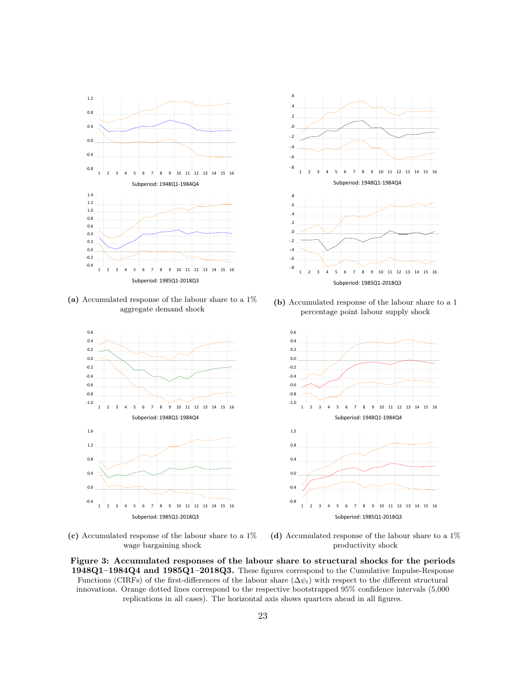<span id="page-24-0"></span>

(a) Accumulated response of the labour share to a 1% aggregate demand shock



(c) Accumulated response of the labour share to a 1% wage bargaining shock



(b) Accumulated response of the labour share to a 1 percentage point labour supply shock



(d) Accumulated response of the labour share to a 1% productivity shock

Figure 3: Accumulated responses of the labour share to structural shocks for the periods 1948Q1–1984Q4 and 1985Q1–2018Q3. These figures correspond to the Cumulative Impulse-Response Functions (CIRFs) of the first-differences of the labour share  $(\Delta \psi_t)$  with respect to the different structural innovations. Orange dotted lines correspond to the respective bootstrapped 95% confidence intervals (5,000 replications in all cases). The horizontal axis shows quarters ahead in all figures.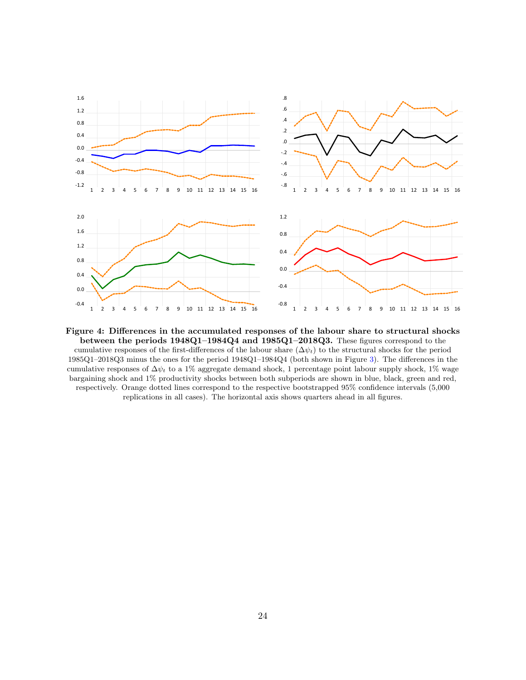<span id="page-25-0"></span>

Figure 4: Differences in the accumulated responses of the labour share to structural shocks between the periods 1948Q1–1984Q4 and 1985Q1–2018Q3. These figures correspond to the cumulative responses of the first-differences of the labour share  $(\Delta \psi_t)$  to the structural shocks for the period 1985Q1–2018Q3 minus the ones for the period 1948Q1–1984Q4 (both shown in Figure [3\)](#page-24-0). The differences in the cumulative responses of  $\Delta \psi_t$  to a 1% aggregate demand shock, 1 percentage point labour supply shock, 1% wage bargaining shock and 1% productivity shocks between both subperiods are shown in blue, black, green and red, respectively. Orange dotted lines correspond to the respective bootstrapped 95% confidence intervals (5,000 replications in all cases). The horizontal axis shows quarters ahead in all figures.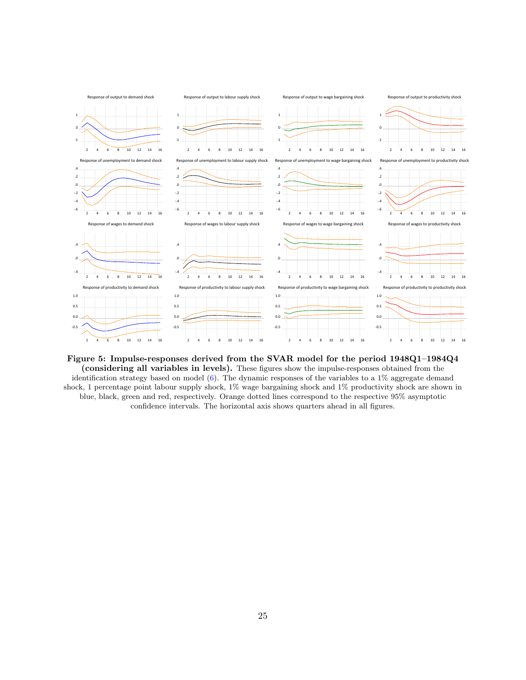<span id="page-26-0"></span>

Figure 5: Impulse-responses derived from the SVAR model for the period 1948Q1–1984Q4 (considering all variables in levels). These figures show the impulse-responses obtained from the identification strategy based on model  $(6)$ . The dynamic responses of the variables to a 1% aggregate demand shock, 1 percentage point labour supply shock, 1% wage bargaining shock and 1% productivity shock are shown in blue, black, green and red, respectively. Orange dotted lines correspond to the respective 95% asymptotic confidence intervals. The horizontal axis shows quarters ahead in all figures.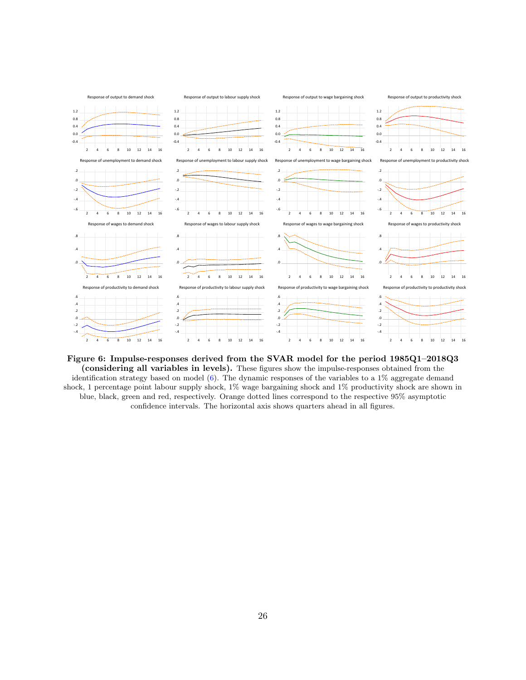<span id="page-27-0"></span>

Figure 6: Impulse-responses derived from the SVAR model for the period 1985Q1–2018Q3 (considering all variables in levels). These figures show the impulse-responses obtained from the identification strategy based on model  $(6)$ . The dynamic responses of the variables to a 1% aggregate demand shock, 1 percentage point labour supply shock, 1% wage bargaining shock and 1% productivity shock are shown in blue, black, green and red, respectively. Orange dotted lines correspond to the respective 95% asymptotic confidence intervals. The horizontal axis shows quarters ahead in all figures.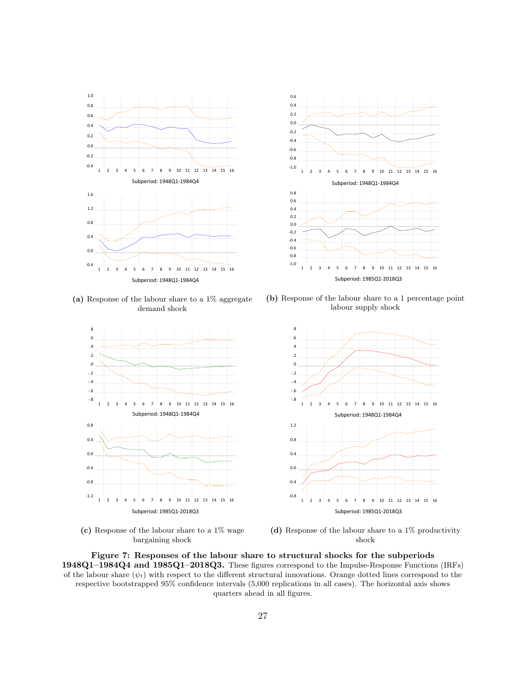<span id="page-28-0"></span>

(a) Response of the labour share to a 1% aggregate demand shock



(c) Response of the labour share to a 1% wage bargaining shock



(b) Response of the labour share to a 1 percentage point labour supply shock



(d) Response of the labour share to a 1% productivity shock

Figure 7: Responses of the labour share to structural shocks for the subperiods 1948Q1–1984Q4 and 1985Q1–2018Q3. These figures correspond to the Impulse-Response Functions (IRFs) of the labour share  $(\psi_t)$  with respect to the different structural innovations. Orange dotted lines correspond to the respective bootstrapped 95% confidence intervals (5,000 replications in all cases). The horizontal axis shows quarters ahead in all figures.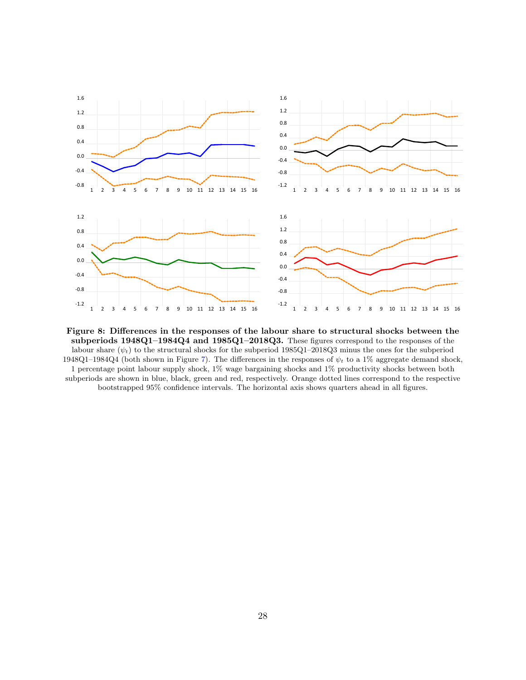<span id="page-29-0"></span>

Figure 8: Differences in the responses of the labour share to structural shocks between the subperiods 1948Q1–1984Q4 and 1985Q1–2018Q3. These figures correspond to the responses of the labour share  $(\psi_t)$  to the structural shocks for the subperiod 1985Q1–2018Q3 minus the ones for the subperiod 1948Q1–1984Q4 (both shown in Figure [7\)](#page-28-0). The differences in the responses of  $\psi_t$  to a 1% aggregate demand shock, 1 percentage point labour supply shock, 1% wage bargaining shocks and 1% productivity shocks between both subperiods are shown in blue, black, green and red, respectively. Orange dotted lines correspond to the respective bootstrapped 95% confidence intervals. The horizontal axis shows quarters ahead in all figures.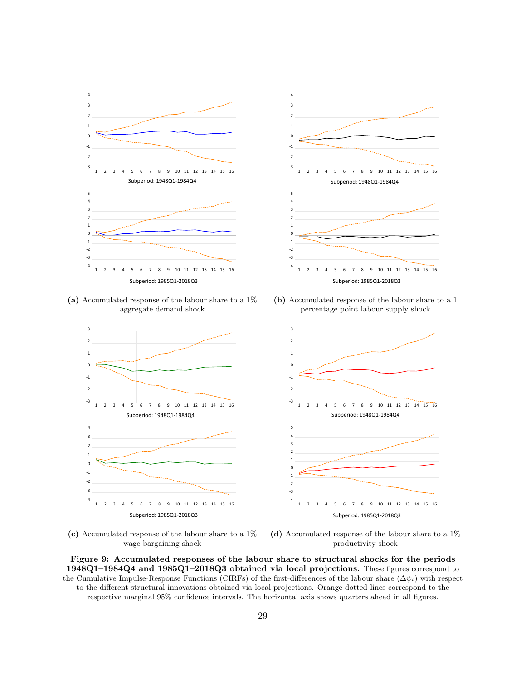<span id="page-30-0"></span>

(a) Accumulated response of the labour share to a 1% aggregate demand shock



(c) Accumulated response of the labour share to a 1% wage bargaining shock



(b) Accumulated response of the labour share to a 1 percentage point labour supply shock



(d) Accumulated response of the labour share to a  $1\%$ productivity shock

Figure 9: Accumulated responses of the labour share to structural shocks for the periods 1948Q1–1984Q4 and 1985Q1–2018Q3 obtained via local projections. These figures correspond to the Cumulative Impulse-Response Functions (CIRFs) of the first-differences of the labour share  $(\Delta \psi_t)$  with respect to the different structural innovations obtained via local projections. Orange dotted lines correspond to the respective marginal 95% confidence intervals. The horizontal axis shows quarters ahead in all figures.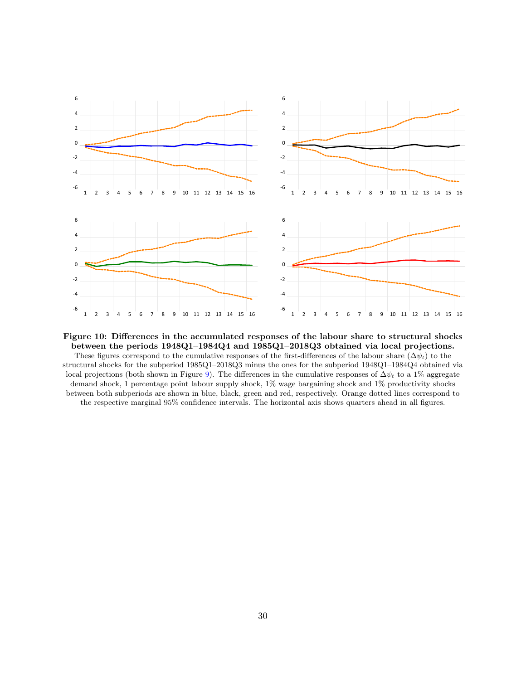<span id="page-31-0"></span>

Figure 10: Differences in the accumulated responses of the labour share to structural shocks between the periods 1948Q1–1984Q4 and 1985Q1–2018Q3 obtained via local projections. These figures correspond to the cumulative responses of the first-differences of the labour share ( $\Delta\psi_t$ ) to the structural shocks for the subperiod 1985Q1–2018Q3 minus the ones for the subperiod 1948Q1–1984Q4 obtained via local projections (both shown in Figure [9\)](#page-30-0). The differences in the cumulative responses of  $\Delta \psi_t$  to a 1% aggregate demand shock, 1 percentage point labour supply shock, 1% wage bargaining shock and 1% productivity shocks between both subperiods are shown in blue, black, green and red, respectively. Orange dotted lines correspond to the respective marginal 95% confidence intervals. The horizontal axis shows quarters ahead in all figures.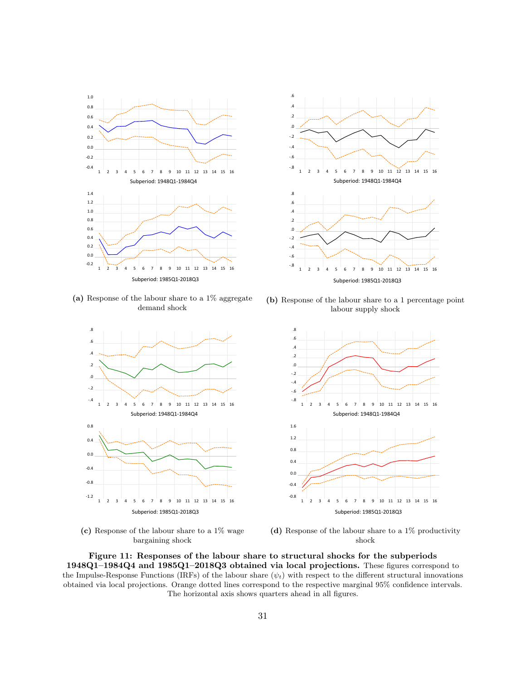<span id="page-32-0"></span>

(a) Response of the labour share to a 1% aggregate demand shock



(c) Response of the labour share to a 1% wage bargaining shock



(b) Response of the labour share to a 1 percentage point labour supply shock



(d) Response of the labour share to a 1% productivity shock

Figure 11: Responses of the labour share to structural shocks for the subperiods 1948Q1–1984Q4 and 1985Q1–2018Q3 obtained via local projections. These figures correspond to the Impulse-Response Functions (IRFs) of the labour share  $(\psi_t)$  with respect to the different structural innovations obtained via local projections. Orange dotted lines correspond to the respective marginal 95% confidence intervals. The horizontal axis shows quarters ahead in all figures.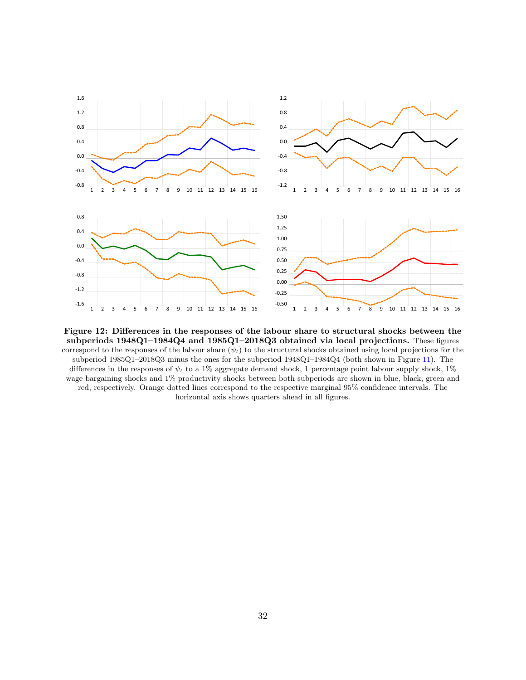<span id="page-33-0"></span>

Figure 12: Differences in the responses of the labour share to structural shocks between the subperiods 1948Q1-1984Q4 and 1985Q1-2018Q3 obtained via local projections. These figures correspond to the responses of the labour share  $(\psi_t)$  to the structural shocks obtained using local projections for the subperiod 1985Q1–2018Q3 minus the ones for the subperiod 1948Q1–1984Q4 (both shown in Figure [11\)](#page-32-0). The differences in the responses of  $\psi_t$  to a 1% aggregate demand shock, 1 percentage point labour supply shock, 1% wage bargaining shocks and 1% productivity shocks between both subperiods are shown in blue, black, green and red, respectively. Orange dotted lines correspond to the respective marginal 95% confidence intervals. The horizontal axis shows quarters ahead in all figures.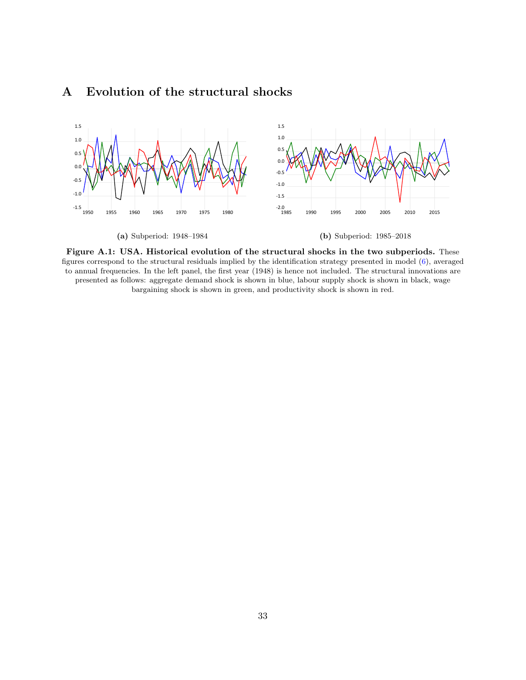<span id="page-34-0"></span>

## A Evolution of the structural shocks

Figure A.1: USA. Historical evolution of the structural shocks in the two subperiods. These figures correspond to the structural residuals implied by the identification strategy presented in model [\(6\)](#page-9-0), averaged to annual frequencies. In the left panel, the first year (1948) is hence not included. The structural innovations are presented as follows: aggregate demand shock is shown in blue, labour supply shock is shown in black, wage bargaining shock is shown in green, and productivity shock is shown in red.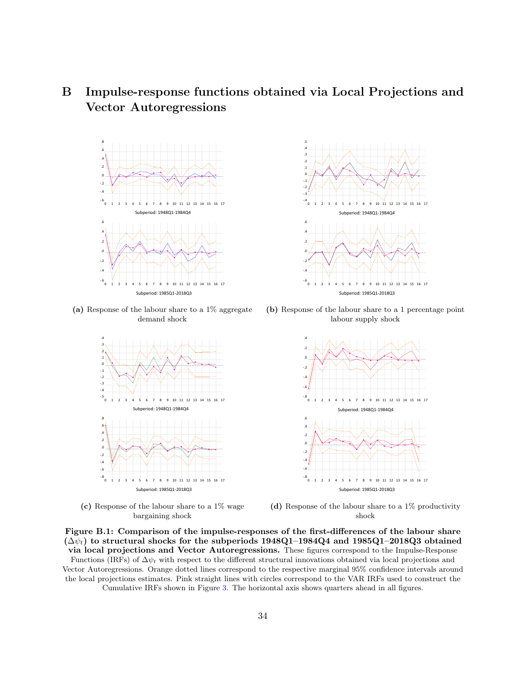B Impulse-response functions obtained via Local Projections and Vector Autoregressions

<span id="page-35-0"></span>

(a) Response of the labour share to a 1% aggregate demand shock



(c) Response of the labour share to a 1% wage bargaining shock



(b) Response of the labour share to a 1 percentage point labour supply shock



(d) Response of the labour share to a 1% productivity shock

Figure B.1: Comparison of the impulse-responses of the first-differences of the labour share  $(\Delta \psi_t)$  to structural shocks for the subperiods 1948Q1–1984Q4 and 1985Q1–2018Q3 obtained via local projections and Vector Autoregressions. These figures correspond to the Impulse-Response Functions (IRFs) of  $\Delta \psi_t$  with respect to the different structural innovations obtained via local projections and Vector Autoregressions. Orange dotted lines correspond to the respective marginal 95% confidence intervals around the local projections estimates. Pink straight lines with circles correspond to the VAR IRFs used to construct the Cumulative IRFs shown in Figure [3.](#page-24-0) The horizontal axis shows quarters ahead in all figures.